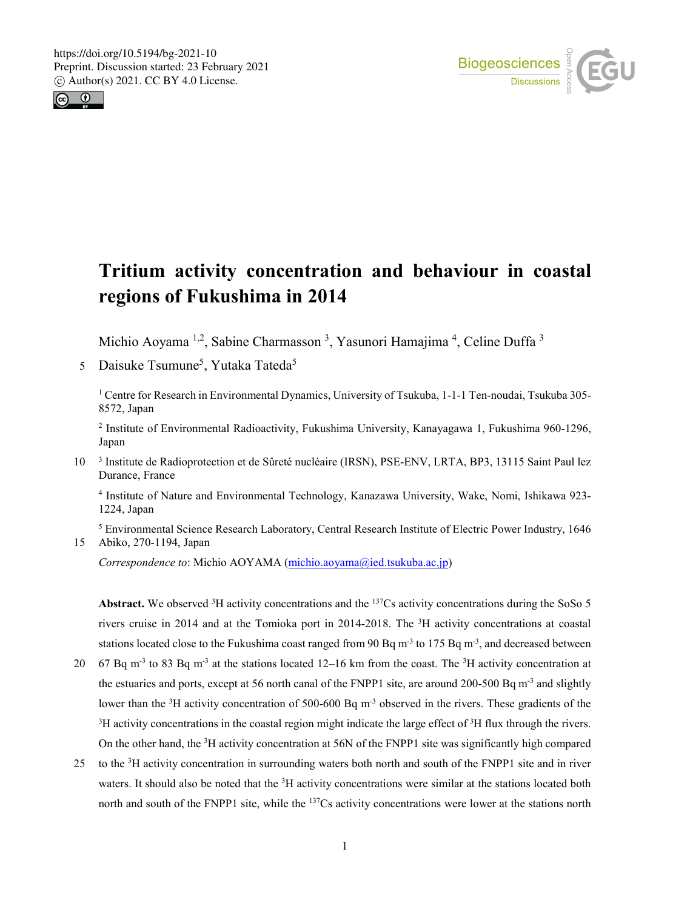



# **Tritium activity concentration and behaviour in coastal regions of Fukushima in 2014**

Michio Aoyama <sup>1,2</sup>, Sabine Charmasson <sup>3</sup>, Yasunori Hamajima <sup>4</sup>, Celine Duffa <sup>3</sup>

5 Daisuke Tsumune<sup>5</sup>, Yutaka Tateda<sup>5</sup>

<sup>1</sup> Centre for Research in Environmental Dynamics, University of Tsukuba, 1-1-1 Ten-noudai, Tsukuba 305-8572, Japan

<sup>2</sup> Institute of Environmental Radioactivity, Fukushima University, Kanayagawa 1, Fukushima 960-1296, Japan

10<sup>3</sup> Institute de Radioprotection et de Sûreté nucléaire (IRSN), PSE-ENV, LRTA, BP3, 13115 Saint Paul lez Durance, France

<sup>4</sup> Institute of Nature and Environmental Technology, Kanazawa University, Wake, Nomi, Ishikawa 923- 1224, Japan

<sup>5</sup> Environmental Science Research Laboratory, Central Research Institute of Electric Power Industry, 1646 15 Abiko, 270-1194, Japan

*Correspondence to*: Michio AOYAMA (michio.aoyama@ied.tsukuba.ac.jp)

Abstract. We observed  ${}^{3}H$  activity concentrations and the  ${}^{137}Cs$  activity concentrations during the SoSo 5 rivers cruise in 2014 and at the Tomioka port in 2014-2018. The 3 H activity concentrations at coastal stations located close to the Fukushima coast ranged from 90 Bq  $m<sup>3</sup>$  to 175 Bq  $m<sup>3</sup>$ , and decreased between

- 20 67 Bq m<sup>-3</sup> to 83 Bq m<sup>-3</sup> at the stations located 12–16 km from the coast. The <sup>3</sup>H activity concentration at the estuaries and ports, except at 56 north canal of the FNPP1 site, are around 200-500 Bq  $m<sup>-3</sup>$  and slightly lower than the <sup>3</sup>H activity concentration of 500-600 Bq m<sup>-3</sup> observed in the rivers. These gradients of the  ${}^{3}$ H activity concentrations in the coastal region might indicate the large effect of  ${}^{3}$ H flux through the rivers. On the other hand, the <sup>3</sup>H activity concentration at 56N of the FNPP1 site was significantly high compared
- 25 to the <sup>3</sup>H activity concentration in surrounding waters both north and south of the FNPP1 site and in river waters. It should also be noted that the <sup>3</sup>H activity concentrations were similar at the stations located both north and south of the FNPP1 site, while the <sup>137</sup>Cs activity concentrations were lower at the stations north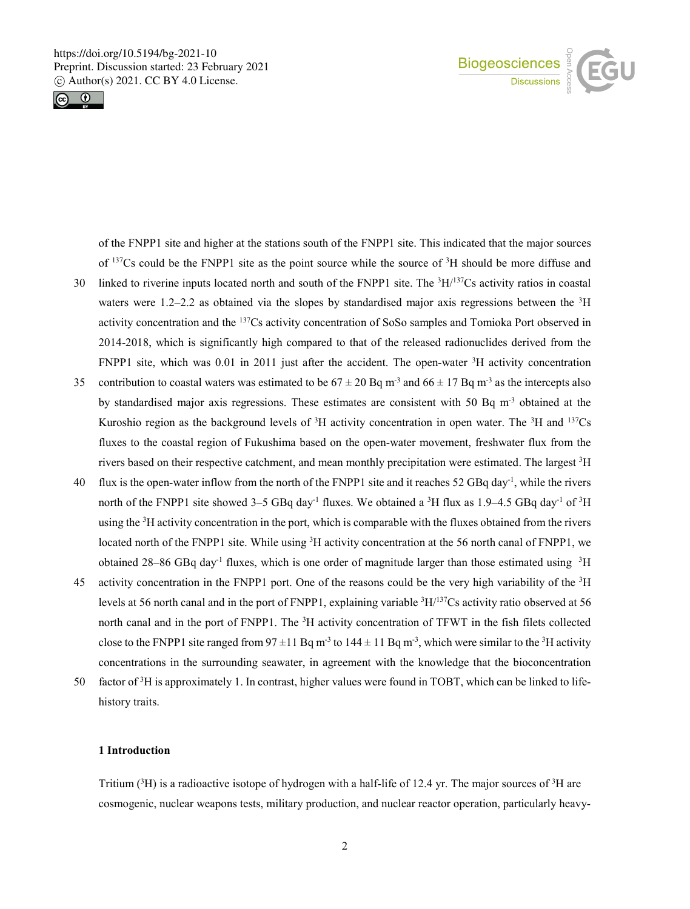



of the FNPP1 site and higher at the stations south of the FNPP1 site. This indicated that the major sources of  $137Cs$  could be the FNPP1 site as the point source while the source of  $3H$  should be more diffuse and

- 30 linked to riverine inputs located north and south of the FNPP1 site. The  ${}^{3}H/{}^{137}Cs$  activity ratios in coastal waters were 1.2–2.2 as obtained via the slopes by standardised major axis regressions between the <sup>3</sup>H activity concentration and the 137Cs activity concentration of SoSo samples and Tomioka Port observed in 2014-2018, which is significantly high compared to that of the released radionuclides derived from the FNPP1 site, which was  $0.01$  in 2011 just after the accident. The open-water  ${}^{3}H$  activity concentration
- 35 contribution to coastal waters was estimated to be  $67 \pm 20$  Bq m<sup>-3</sup> and  $66 \pm 17$  Bq m<sup>-3</sup> as the intercepts also by standardised major axis regressions. These estimates are consistent with 50 Bq  $m<sup>3</sup>$  obtained at the Kuroshio region as the background levels of  ${}^{3}H$  activity concentration in open water. The  ${}^{3}H$  and  ${}^{137}Cs$ fluxes to the coastal region of Fukushima based on the open-water movement, freshwater flux from the rivers based on their respective catchment, and mean monthly precipitation were estimated. The largest <sup>3</sup>H
- 40 flux is the open-water inflow from the north of the FNPP1 site and it reaches 52 GBq day<sup>-1</sup>, while the rivers north of the FNPP1 site showed 3–5 GBq day<sup>-1</sup> fluxes. We obtained a <sup>3</sup>H flux as 1.9–4.5 GBq day<sup>-1</sup> of <sup>3</sup>H using the <sup>3</sup>H activity concentration in the port, which is comparable with the fluxes obtained from the rivers located north of the FNPP1 site. While using <sup>3</sup>H activity concentration at the 56 north canal of FNPP1, we obtained 28–86 GBq day<sup>-1</sup> fluxes, which is one order of magnitude larger than those estimated using  $3H$
- 45 activity concentration in the FNPP1 port. One of the reasons could be the very high variability of the <sup>3</sup>H levels at 56 north canal and in the port of FNPP1, explaining variable <sup>3</sup>H/<sup>137</sup>Cs activity ratio observed at 56 north canal and in the port of FNPP1. The <sup>3</sup>H activity concentration of TFWT in the fish filets collected close to the FNPP1 site ranged from  $97 \pm 11$  Bq m<sup>-3</sup> to  $144 \pm 11$  Bq m<sup>-3</sup>, which were similar to the <sup>3</sup>H activity concentrations in the surrounding seawater, in agreement with the knowledge that the bioconcentration
- 50 factor of <sup>3</sup>H is approximately 1. In contrast, higher values were found in TOBT, which can be linked to lifehistory traits.

# **1 Introduction**

Tritium  $(^{3}H)$  is a radioactive isotope of hydrogen with a half-life of 12.4 yr. The major sources of  $^3H$  are cosmogenic, nuclear weapons tests, military production, and nuclear reactor operation, particularly heavy-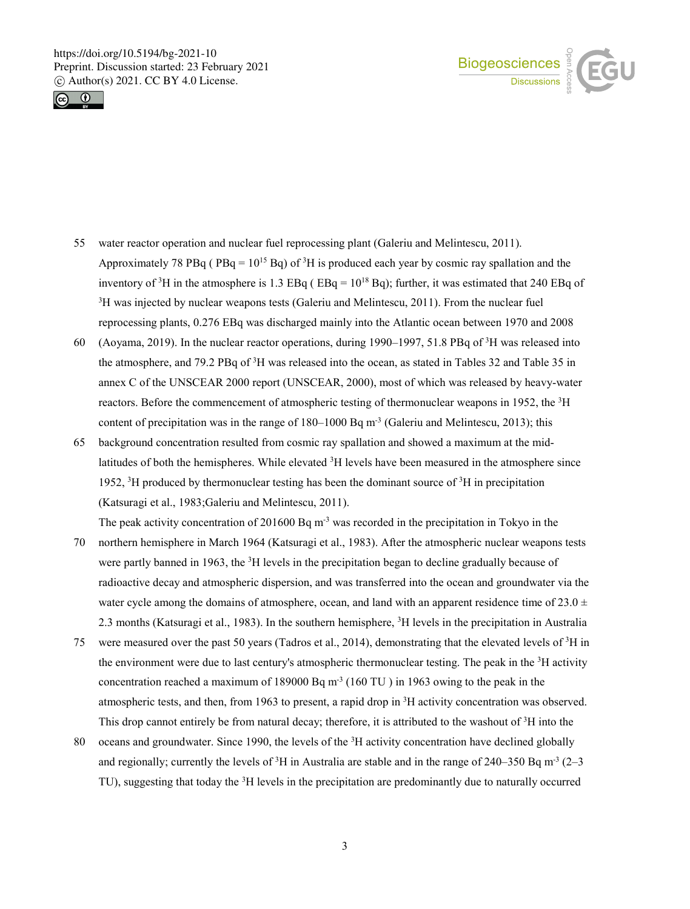



- 55 water reactor operation and nuclear fuel reprocessing plant (Galeriu and Melintescu, 2011). Approximately 78 PBq ( $PBq = 10^{15}$  Bq) of <sup>3</sup>H is produced each year by cosmic ray spallation and the inventory of <sup>3</sup>H in the atmosphere is 1.3 EBq (  $EBq = 10^{18}$  Bq); further, it was estimated that 240 EBq of 3 H was injected by nuclear weapons tests (Galeriu and Melintescu, 2011). From the nuclear fuel reprocessing plants, 0.276 EBq was discharged mainly into the Atlantic ocean between 1970 and 2008
- 60 (Aoyama, 2019). In the nuclear reactor operations, during 1990–1997, 51.8 PBq of  ${}^{3}H$  was released into the atmosphere, and 79.2 PBq of <sup>3</sup>H was released into the ocean, as stated in Tables 32 and Table 35 in annex C of the UNSCEAR 2000 report (UNSCEAR, 2000), most of which was released by heavy-water reactors. Before the commencement of atmospheric testing of thermonuclear weapons in 1952, the <sup>3</sup>H content of precipitation was in the range of  $180-1000$  Bq m<sup>-3</sup> (Galeriu and Melintescu, 2013); this
- 65 background concentration resulted from cosmic ray spallation and showed a maximum at the midlatitudes of both the hemispheres. While elevated <sup>3</sup>H levels have been measured in the atmosphere since 1952,  ${}^{3}$ H produced by thermonuclear testing has been the dominant source of  ${}^{3}$ H in precipitation (Katsuragi et al., 1983;Galeriu and Melintescu, 2011).

The peak activity concentration of 201600 Bq  $m<sup>3</sup>$  was recorded in the precipitation in Tokyo in the

- 70 northern hemisphere in March 1964 (Katsuragi et al., 1983). After the atmospheric nuclear weapons tests were partly banned in 1963, the <sup>3</sup>H levels in the precipitation began to decline gradually because of radioactive decay and atmospheric dispersion, and was transferred into the ocean and groundwater via the water cycle among the domains of atmosphere, ocean, and land with an apparent residence time of 23.0  $\pm$ 2.3 months (Katsuragi et al., 1983). In the southern hemisphere, 3 H levels in the precipitation in Australia
- 75 were measured over the past 50 years (Tadros et al., 2014), demonstrating that the elevated levels of  ${}^{3}H$  in the environment were due to last century's atmospheric thermonuclear testing. The peak in the <sup>3</sup>H activity concentration reached a maximum of 189000 Bq m<sup>-3</sup> (160 TU) in 1963 owing to the peak in the atmospheric tests, and then, from 1963 to present, a rapid drop in 3 H activity concentration was observed. This drop cannot entirely be from natural decay; therefore, it is attributed to the washout of <sup>3</sup>H into the
- 80 oceans and groundwater. Since 1990, the levels of the  ${}^{3}H$  activity concentration have declined globally and regionally; currently the levels of  ${}^{3}H$  in Australia are stable and in the range of 240–350 Bq m<sup>-3</sup> (2–3 TU), suggesting that today the <sup>3</sup>H levels in the precipitation are predominantly due to naturally occurred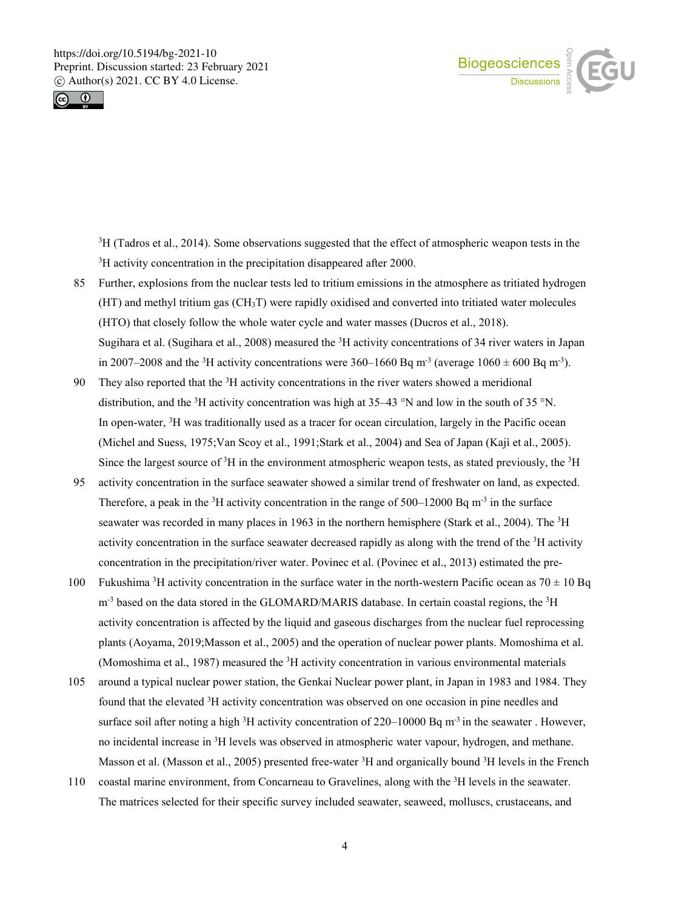



3 H (Tadros et al., 2014). Some observations suggested that the effect of atmospheric weapon tests in the <sup>3</sup>H activity concentration in the precipitation disappeared after 2000.

- 85 Further, explosions from the nuclear tests led to tritium emissions in the atmosphere as tritiated hydrogen (HT) and methyl tritium gas (CH3T) were rapidly oxidised and converted into tritiated water molecules (HTO) that closely follow the whole water cycle and water masses (Ducros et al., 2018). Sugihara et al. (Sugihara et al., 2008) measured the  ${}^{3}H$  activity concentrations of 34 river waters in Japan in 2007–2008 and the <sup>3</sup>H activity concentrations were 360–1660 Bq m<sup>-3</sup> (average 1060  $\pm$  600 Bq m<sup>-3</sup>).
- 90 They also reported that the  ${}^{3}H$  activity concentrations in the river waters showed a meridional distribution, and the <sup>3</sup>H activity concentration was high at  $35-43$  °N and low in the south of  $35$  °N. In open-water, <sup>3</sup>H was traditionally used as a tracer for ocean circulation, largely in the Pacific ocean (Michel and Suess, 1975;Van Scoy et al., 1991;Stark et al., 2004) and Sea of Japan (Kajì et al., 2005). Since the largest source of <sup>3</sup>H in the environment atmospheric weapon tests, as stated previously, the <sup>3</sup>H
- 95 activity concentration in the surface seawater showed a similar trend of freshwater on land, as expected. Therefore, a peak in the <sup>3</sup>H activity concentration in the range of 500–12000 Bq m<sup>-3</sup> in the surface seawater was recorded in many places in 1963 in the northern hemisphere (Stark et al., 2004). The <sup>3</sup>H activity concentration in the surface seawater decreased rapidly as along with the trend of the <sup>3</sup>H activity concentration in the precipitation/river water. Povinec et al. (Povinec et al., 2013) estimated the pre-
- 100 Fukushima <sup>3</sup>H activity concentration in the surface water in the north-western Pacific ocean as  $70 \pm 10$  Bq m<sup>-3</sup> based on the data stored in the GLOMARD/MARIS database. In certain coastal regions, the <sup>3</sup>H activity concentration is affected by the liquid and gaseous discharges from the nuclear fuel reprocessing plants (Aoyama, 2019;Masson et al., 2005) and the operation of nuclear power plants. Momoshima et al. (Momoshima et al., 1987) measured the <sup>3</sup>H activity concentration in various environmental materials
- 105 around a typical nuclear power station, the Genkai Nuclear power plant, in Japan in 1983 and 1984. They found that the elevated <sup>3</sup>H activity concentration was observed on one occasion in pine needles and surface soil after noting a high  ${}^{3}H$  activity concentration of 220–10000 Bq m<sup>-3</sup> in the seawater. However, no incidental increase in <sup>3</sup>H levels was observed in atmospheric water vapour, hydrogen, and methane. Masson et al. (Masson et al., 2005) presented free-water <sup>3</sup>H and organically bound <sup>3</sup>H levels in the French
- 110 coastal marine environment, from Concarneau to Gravelines, along with the <sup>3</sup>H levels in the seawater. The matrices selected for their specific survey included seawater, seaweed, molluscs, crustaceans, and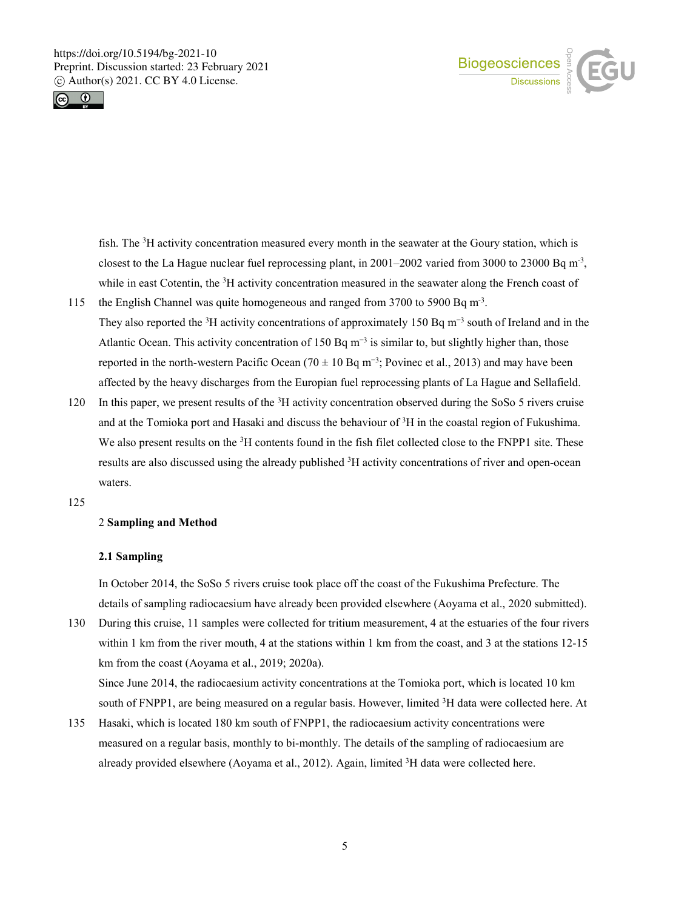



fish. The <sup>3</sup>H activity concentration measured every month in the seawater at the Goury station, which is closest to the La Hague nuclear fuel reprocessing plant, in  $2001-2002$  varied from 3000 to 23000 Bq m<sup>-3</sup>, while in east Cotentin, the <sup>3</sup>H activity concentration measured in the seawater along the French coast of

- 115 the English Channel was quite homogeneous and ranged from 3700 to 5900 Bq m<sup>-3</sup>. They also reported the <sup>3</sup>H activity concentrations of approximately 150 Bq m<sup>-3</sup> south of Ireland and in the Atlantic Ocean. This activity concentration of 150 Bq  $m^{-3}$  is similar to, but slightly higher than, those reported in the north-western Pacific Ocean (70  $\pm$  10 Bq m<sup>-3</sup>; Povinec et al., 2013) and may have been affected by the heavy discharges from the Europian fuel reprocessing plants of La Hague and Sellafield.
- 120 In this paper, we present results of the  ${}^{3}H$  activity concentration observed during the SoSo 5 rivers cruise and at the Tomioka port and Hasaki and discuss the behaviour of 3 H in the coastal region of Fukushima. We also present results on the <sup>3</sup>H contents found in the fish filet collected close to the FNPP1 site. These results are also discussed using the already published <sup>3</sup>H activity concentrations of river and open-ocean waters.
- 125

# 2 **Sampling and Method**

#### **2.1 Sampling**

In October 2014, the SoSo 5 rivers cruise took place off the coast of the Fukushima Prefecture. The details of sampling radiocaesium have already been provided elsewhere (Aoyama et al., 2020 submitted).

130 During this cruise, 11 samples were collected for tritium measurement, 4 at the estuaries of the four rivers within 1 km from the river mouth, 4 at the stations within 1 km from the coast, and 3 at the stations 12-15 km from the coast (Aoyama et al., 2019; 2020a).

Since June 2014, the radiocaesium activity concentrations at the Tomioka port, which is located 10 km south of FNPP1, are being measured on a regular basis. However, limited <sup>3</sup>H data were collected here. At

135 Hasaki, which is located 180 km south of FNPP1, the radiocaesium activity concentrations were measured on a regular basis, monthly to bi-monthly. The details of the sampling of radiocaesium are already provided elsewhere (Aoyama et al., 2012). Again, limited <sup>3</sup>H data were collected here.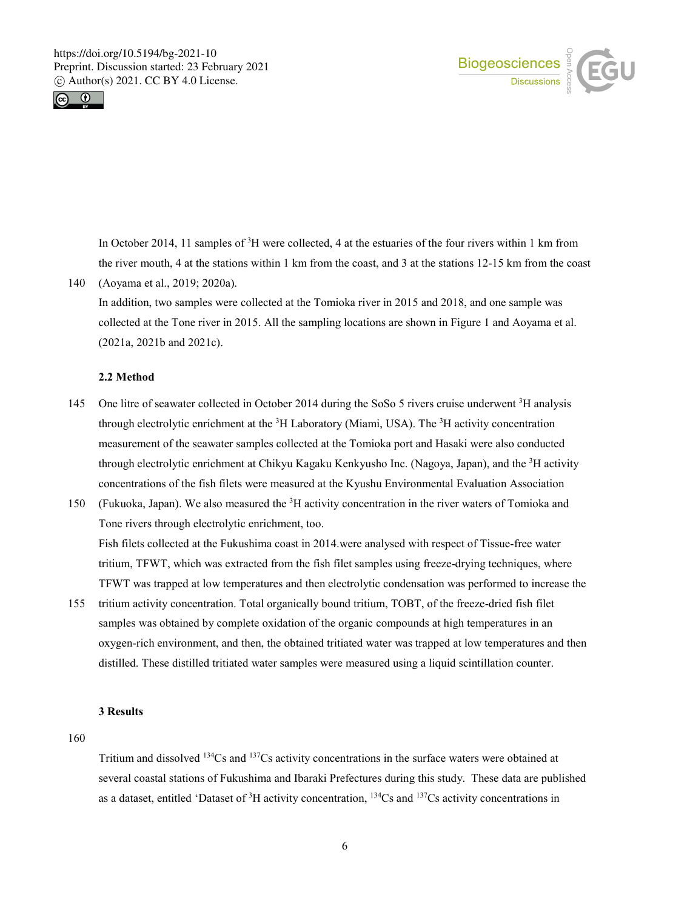



In October 2014, 11 samples of  ${}^{3}H$  were collected, 4 at the estuaries of the four rivers within 1 km from the river mouth, 4 at the stations within 1 km from the coast, and 3 at the stations 12-15 km from the coast

140 (Aoyama et al., 2019; 2020a). In addition, two samples were collected at the Tomioka river in 2015 and 2018, and one sample was collected at the Tone river in 2015. All the sampling locations are shown in Figure 1 and Aoyama et al. (2021a, 2021b and 2021c).

#### **2.2 Method**

- 145 One litre of seawater collected in October 2014 during the SoSo 5 rivers cruise underwent <sup>3</sup>H analysis through electrolytic enrichment at the <sup>3</sup>H Laboratory (Miami, USA). The <sup>3</sup>H activity concentration measurement of the seawater samples collected at the Tomioka port and Hasaki were also conducted through electrolytic enrichment at Chikyu Kagaku Kenkyusho Inc. (Nagoya, Japan), and the <sup>3</sup>H activity concentrations of the fish filets were measured at the Kyushu Environmental Evaluation Association
- 150 (Fukuoka, Japan). We also measured the  ${}^{3}H$  activity concentration in the river waters of Tomioka and Tone rivers through electrolytic enrichment, too. Fish filets collected at the Fukushima coast in 2014.were analysed with respect of Tissue-free water tritium, TFWT, which was extracted from the fish filet samples using freeze-drying techniques, where TFWT was trapped at low temperatures and then electrolytic condensation was performed to increase the
- 155 tritium activity concentration. Total organically bound tritium, TOBT, of the freeze-dried fish filet samples was obtained by complete oxidation of the organic compounds at high temperatures in an oxygen-rich environment, and then, the obtained tritiated water was trapped at low temperatures and then distilled. These distilled tritiated water samples were measured using a liquid scintillation counter.

#### **3 Results**

160

Tritium and dissolved  $134Cs$  and  $137Cs$  activity concentrations in the surface waters were obtained at several coastal stations of Fukushima and Ibaraki Prefectures during this study. These data are published as a dataset, entitled 'Dataset of  ${}^{3}H$  activity concentration,  ${}^{134}Cs$  and  ${}^{137}Cs$  activity concentrations in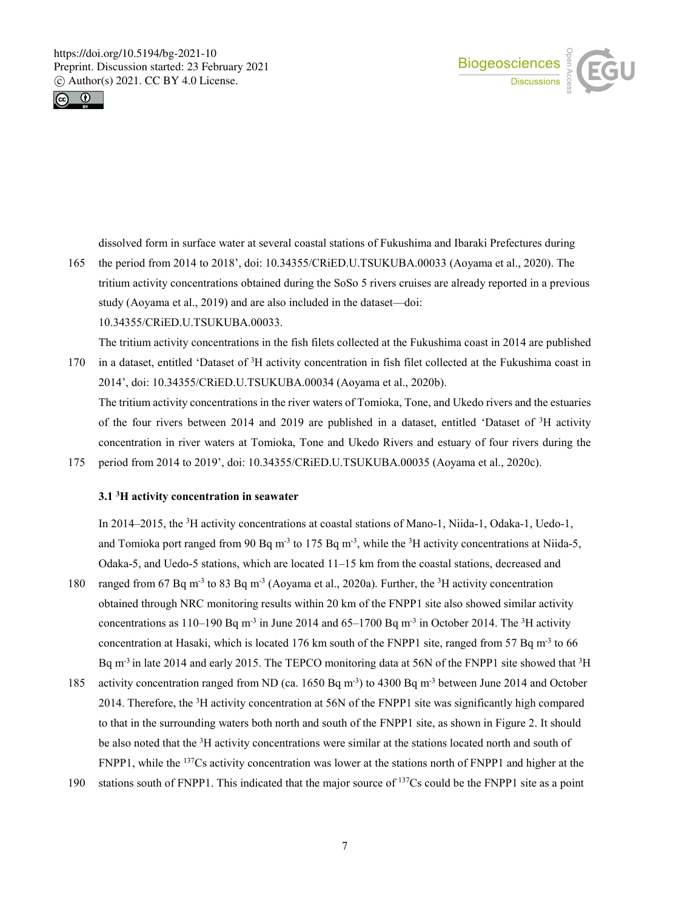



dissolved form in surface water at several coastal stations of Fukushima and Ibaraki Prefectures during

165 the period from 2014 to 2018', doi: 10.34355/CRiED.U.TSUKUBA.00033 (Aoyama et al., 2020). The tritium activity concentrations obtained during the SoSo 5 rivers cruises are already reported in a previous study (Aoyama et al., 2019) and are also included in the dataset—doi: 10.34355/CRiED.U.TSUKUBA.00033.

The tritium activity concentrations in the fish filets collected at the Fukushima coast in 2014 are published 170 in a dataset, entitled 'Dataset of  ${}^{3}H$  activity concentration in fish filet collected at the Fukushima coast in 2014', doi: 10.34355/CRiED.U.TSUKUBA.00034 (Aoyama et al., 2020b). The tritium activity concentrations in the river waters of Tomioka, Tone, and Ukedo rivers and the estuaries of the four rivers between 2014 and 2019 are published in a dataset, entitled 'Dataset of <sup>3</sup>H activity

concentration in river waters at Tomioka, Tone and Ukedo Rivers and estuary of four rivers during the 175 period from 2014 to 2019', doi: 10.34355/CRiED.U.TSUKUBA.00035 (Aoyama et al., 2020c).

# **3.1 3 H activity concentration in seawater**

In 2014–2015, the <sup>3</sup>H activity concentrations at coastal stations of Mano-1, Niida-1, Odaka-1, Uedo-1, and Tomioka port ranged from 90 Bq m<sup>-3</sup> to 175 Bq m<sup>-3</sup>, while the <sup>3</sup>H activity concentrations at Niida-5, Odaka-5, and Uedo-5 stations, which are located 11–15 km from the coastal stations, decreased and

- 180 ranged from 67 Bq m<sup>-3</sup> to 83 Bq m<sup>-3</sup> (Aoyama et al., 2020a). Further, the <sup>3</sup>H activity concentration obtained through NRC monitoring results within 20 km of the FNPP1 site also showed similar activity concentrations as 110–190 Bq m<sup>-3</sup> in June 2014 and 65–1700 Bq m<sup>-3</sup> in October 2014. The <sup>3</sup>H activity concentration at Hasaki, which is located 176 km south of the FNPP1 site, ranged from 57 Bq m<sup>-3</sup> to 66 Bq m<sup>-3</sup> in late 2014 and early 2015. The TEPCO monitoring data at 56N of the FNPP1 site showed that <sup>3</sup>H
- 185 activity concentration ranged from ND (ca. 1650 Bq m<sup>-3</sup>) to 4300 Bq m<sup>-3</sup> between June 2014 and October 2014. Therefore, the <sup>3</sup>H activity concentration at 56N of the FNPP1 site was significantly high compared to that in the surrounding waters both north and south of the FNPP1 site, as shown in Figure 2. It should be also noted that the <sup>3</sup>H activity concentrations were similar at the stations located north and south of FNPP1, while the 137Cs activity concentration was lower at the stations north of FNPP1 and higher at the
- 190 stations south of FNPP1. This indicated that the major source of  $137Cs$  could be the FNPP1 site as a point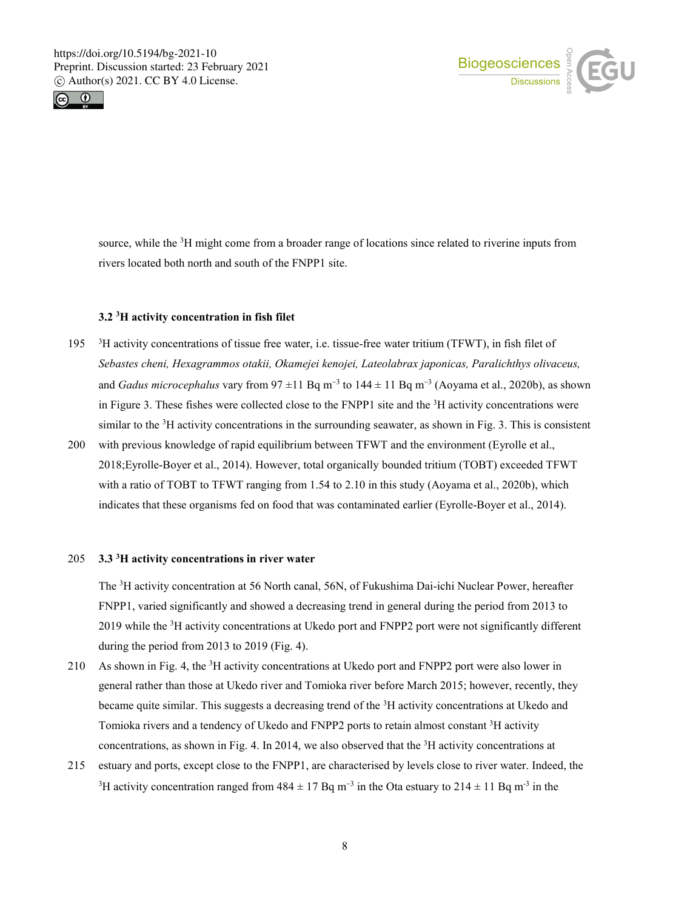



source, while the <sup>3</sup>H might come from a broader range of locations since related to riverine inputs from rivers located both north and south of the FNPP1 site.

# **3.2 3 H activity concentration in fish filet**

- 195 <sup>3</sup>H activity concentrations of tissue free water, i.e. tissue-free water tritium (TFWT), in fish filet of *Sebastes cheni, Hexagrammos otakii, Okamejei kenojei, Lateolabrax japonicas, Paralichthys olivaceus,* and *Gadus microcephalus* vary from 97 ±11 Bq m<sup>−</sup><sup>3</sup> to 144 ± 11 Bq m<sup>−</sup><sup>3</sup> (Aoyama et al., 2020b), as shown in Figure 3. These fishes were collected close to the FNPP1 site and the  ${}^{3}$ H activity concentrations were similar to the <sup>3</sup>H activity concentrations in the surrounding seawater, as shown in Fig. 3. This is consistent
- 200 with previous knowledge of rapid equilibrium between TFWT and the environment (Eyrolle et al., 2018;Eyrolle-Boyer et al., 2014). However, total organically bounded tritium (TOBT) exceeded TFWT with a ratio of TOBT to TFWT ranging from 1.54 to 2.10 in this study (Aoyama et al., 2020b), which indicates that these organisms fed on food that was contaminated earlier (Eyrolle-Boyer et al., 2014).

### **3.3** 205 **<sup>3</sup> H activity concentrations in river water**

The <sup>3</sup>H activity concentration at 56 North canal, 56N, of Fukushima Dai-ichi Nuclear Power, hereafter FNPP1, varied significantly and showed a decreasing trend in general during the period from 2013 to 2019 while the <sup>3</sup>H activity concentrations at Ukedo port and FNPP2 port were not significantly different during the period from 2013 to 2019 (Fig. 4).

- 210 As shown in Fig. 4, the <sup>3</sup>H activity concentrations at Ukedo port and FNPP2 port were also lower in general rather than those at Ukedo river and Tomioka river before March 2015; however, recently, they became quite similar. This suggests a decreasing trend of the <sup>3</sup>H activity concentrations at Ukedo and Tomioka rivers and a tendency of Ukedo and FNPP2 ports to retain almost constant <sup>3</sup>H activity concentrations, as shown in Fig. 4. In 2014, we also observed that the  ${}^{3}H$  activity concentrations at
- 215 estuary and ports, except close to the FNPP1, are characterised by levels close to river water. Indeed, the <sup>3</sup>H activity concentration ranged from  $484 \pm 17$  Bq m<sup>-3</sup> in the Ota estuary to  $214 \pm 11$  Bq m<sup>-3</sup> in the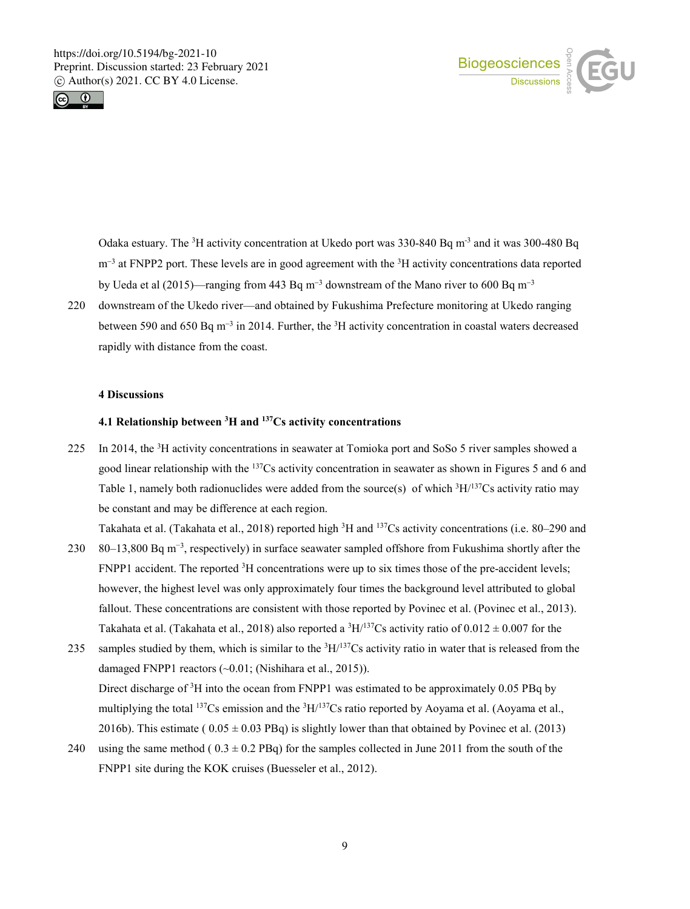



Odaka estuary. The <sup>3</sup>H activity concentration at Ukedo port was 330-840 Bq m<sup>-3</sup> and it was 300-480 Bq m<sup>-3</sup> at FNPP2 port. These levels are in good agreement with the <sup>3</sup>H activity concentrations data reported by Ueda et al (2015)—ranging from 443 Bq m<sup>−</sup><sup>3</sup> downstream of the Mano river to 600 Bq m<sup>−</sup><sup>3</sup>

220 downstream of the Ukedo river—and obtained by Fukushima Prefecture monitoring at Ukedo ranging between 590 and 650 Bq m<sup>-3</sup> in 2014. Further, the <sup>3</sup>H activity concentration in coastal waters decreased rapidly with distance from the coast.

# **4 Discussions**

#### **4.1 Relationship between 3 H and 137Cs activity concentrations**

225 In 2014, the  ${}^{3}$ H activity concentrations in seawater at Tomioka port and SoSo 5 river samples showed a good linear relationship with the  $137Cs$  activity concentration in seawater as shown in Figures 5 and 6 and Table 1, namely both radionuclides were added from the source(s) of which  ${}^{3}H/{}^{137}Cs$  activity ratio may be constant and may be difference at each region.

Takahata et al. (Takahata et al., 2018) reported high <sup>3</sup>H and <sup>137</sup>Cs activity concentrations (i.e. 80–290 and

- 230 80–13,800 Bq m<sup>-3</sup>, respectively) in surface seawater sampled offshore from Fukushima shortly after the FNPP1 accident. The reported <sup>3</sup>H concentrations were up to six times those of the pre-accident levels; however, the highest level was only approximately four times the background level attributed to global fallout. These concentrations are consistent with those reported by Povinec et al. (Povinec et al., 2013). Takahata et al. (Takahata et al., 2018) also reported a <sup>3</sup>H/<sup>137</sup>Cs activity ratio of  $0.012 \pm 0.007$  for the
- 235 samples studied by them, which is similar to the  ${}^{3}H/{}^{137}Cs$  activity ratio in water that is released from the damaged FNPP1 reactors (~0.01; (Nishihara et al., 2015)). Direct discharge of <sup>3</sup>H into the ocean from FNPP1 was estimated to be approximately 0.05 PBq by multiplying the total  $^{137}Cs$  emission and the  $^{3}H/^{137}Cs$  ratio reported by Aoyama et al. (Aoyama et al., 2016b). This estimate ( $0.05 \pm 0.03$  PBq) is slightly lower than that obtained by Povinec et al. (2013)
- 240 using the same method ( $0.3 \pm 0.2$  PBq) for the samples collected in June 2011 from the south of the FNPP1 site during the KOK cruises (Buesseler et al., 2012).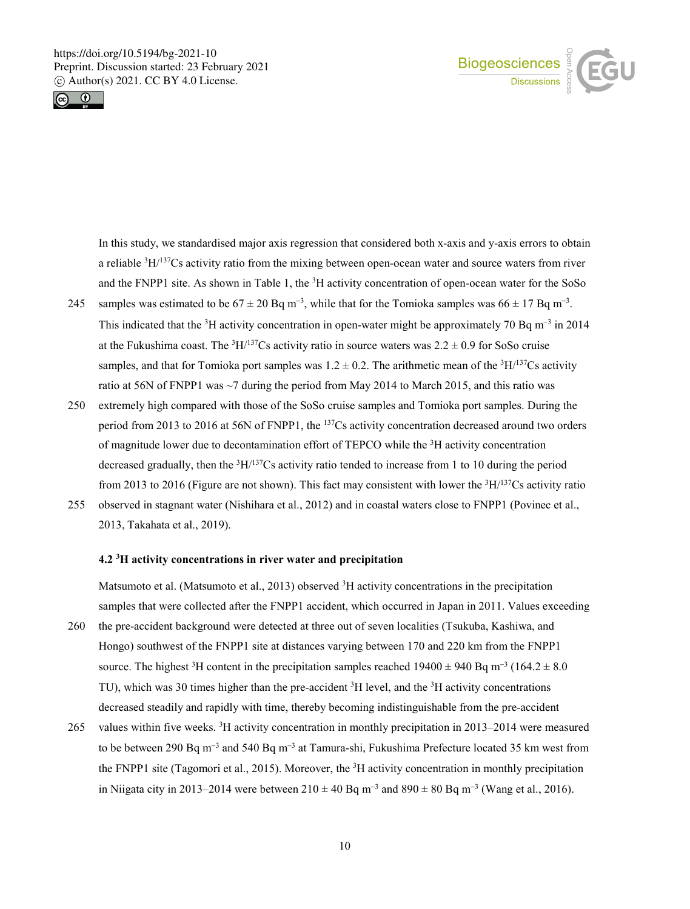



In this study, we standardised major axis regression that considered both x-axis and y-axis errors to obtain a reliable  ${}^{3}H/{}^{137}Cs$  activity ratio from the mixing between open-ocean water and source waters from river and the FNPP1 site. As shown in Table 1, the  ${}^{3}H$  activity concentration of open-ocean water for the SoSo

- 245 samples was estimated to be  $67 \pm 20$  Bq m<sup>-3</sup>, while that for the Tomioka samples was  $66 \pm 17$  Bq m<sup>-3</sup>. This indicated that the <sup>3</sup>H activity concentration in open-water might be approximately 70 Bq m<sup>-3</sup> in 2014 at the Fukushima coast. The  ${}^{3}H/{}^{137}Cs$  activity ratio in source waters was  $2.2 \pm 0.9$  for SoSo cruise samples, and that for Tomioka port samples was  $1.2 \pm 0.2$ . The arithmetic mean of the <sup>3</sup>H/<sup>137</sup>Cs activity ratio at 56N of FNPP1 was ~7 during the period from May 2014 to March 2015, and this ratio was
- 250 extremely high compared with those of the SoSo cruise samples and Tomioka port samples. During the period from 2013 to 2016 at 56N of FNPP1, the 137Cs activity concentration decreased around two orders of magnitude lower due to decontamination effort of TEPCO while the <sup>3</sup>H activity concentration decreased gradually, then the  ${}^{3}H/{}^{137}Cs$  activity ratio tended to increase from 1 to 10 during the period from 2013 to 2016 (Figure are not shown). This fact may consistent with lower the <sup>3</sup>H/<sup>137</sup>Cs activity ratio
- 255 observed in stagnant water (Nishihara et al., 2012) and in coastal waters close to FNPP1 (Povinec et al., 2013, Takahata et al., 2019).

## **4.2 3 H activity concentrations in river water and precipitation**

Matsumoto et al. (Matsumoto et al., 2013) observed <sup>3</sup>H activity concentrations in the precipitation samples that were collected after the FNPP1 accident, which occurred in Japan in 2011. Values exceeding

- 260 the pre-accident background were detected at three out of seven localities (Tsukuba, Kashiwa, and Hongo) southwest of the FNPP1 site at distances varying between 170 and 220 km from the FNPP1 source. The highest <sup>3</sup>H content in the precipitation samples reached 19400 ± 940 Bq m<sup>-3</sup> (164.2 ± 8.0) TU), which was 30 times higher than the pre-accident <sup>3</sup>H level, and the <sup>3</sup>H activity concentrations decreased steadily and rapidly with time, thereby becoming indistinguishable from the pre-accident
- 265 values within five weeks. <sup>3</sup>H activity concentration in monthly precipitation in 2013–2014 were measured to be between 290 Bq m<sup>-3</sup> and 540 Bq m<sup>-3</sup> at Tamura-shi, Fukushima Prefecture located 35 km west from the FNPP1 site (Tagomori et al., 2015). Moreover, the <sup>3</sup>H activity concentration in monthly precipitation in Niigata city in 2013–2014 were between  $210 \pm 40$  Bq m<sup>-3</sup> and  $890 \pm 80$  Bq m<sup>-3</sup> (Wang et al., 2016).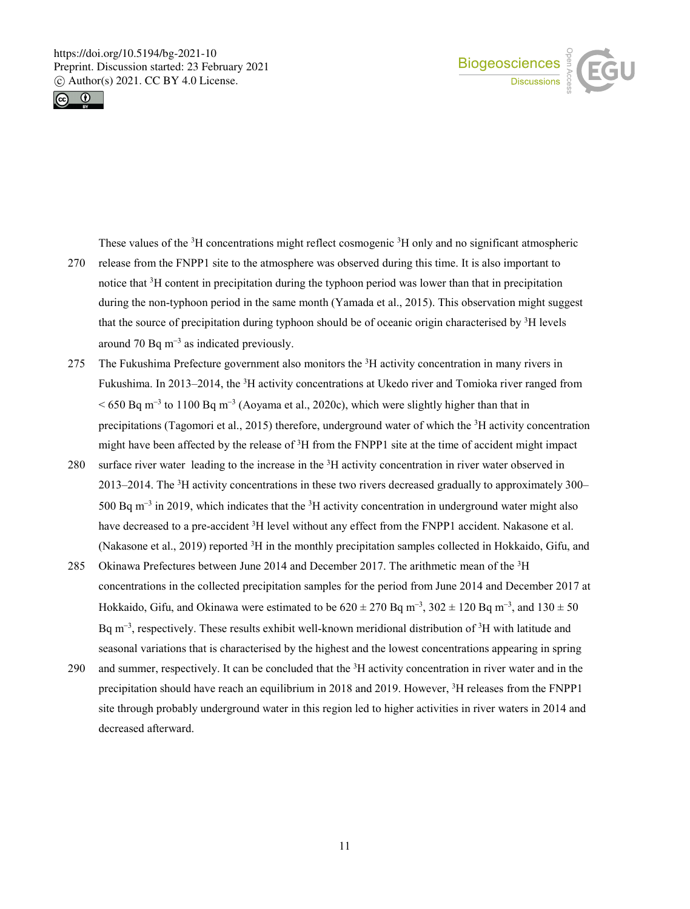



These values of the <sup>3</sup>H concentrations might reflect cosmogenic <sup>3</sup>H only and no significant atmospheric

- 270 release from the FNPP1 site to the atmosphere was observed during this time. It is also important to notice that <sup>3</sup>H content in precipitation during the typhoon period was lower than that in precipitation during the non-typhoon period in the same month (Yamada et al., 2015). This observation might suggest that the source of precipitation during typhoon should be of oceanic origin characterised by <sup>3</sup>H levels around 70 Bq  $m^{-3}$  as indicated previously.
- 275 The Fukushima Prefecture government also monitors the  ${}^{3}H$  activity concentration in many rivers in Fukushima. In 2013–2014, the <sup>3</sup>H activity concentrations at Ukedo river and Tomioka river ranged from < 650 Bq m<sup>−</sup><sup>3</sup> to 1100 Bq m<sup>−</sup><sup>3</sup> (Aoyama et al., 2020c), which were slightly higher than that in precipitations (Tagomori et al., 2015) therefore, underground water of which the <sup>3</sup>H activity concentration might have been affected by the release of <sup>3</sup>H from the FNPP1 site at the time of accident might impact
- 280 surface river water leading to the increase in the <sup>3</sup>H activity concentration in river water observed in 2013–2014. The <sup>3</sup>H activity concentrations in these two rivers decreased gradually to approximately 300– 500 Bq m<sup>-3</sup> in 2019, which indicates that the <sup>3</sup>H activity concentration in underground water might also have decreased to a pre-accident <sup>3</sup>H level without any effect from the FNPP1 accident. Nakasone et al. (Nakasone et al., 2019) reported <sup>3</sup>H in the monthly precipitation samples collected in Hokkaido, Gifu, and
- 285 Okinawa Prefectures between June 2014 and December 2017. The arithmetic mean of the  ${}^{3}H$ concentrations in the collected precipitation samples for the period from June 2014 and December 2017 at Hokkaido, Gifu, and Okinawa were estimated to be  $620 \pm 270$  Bq m<sup>-3</sup>,  $302 \pm 120$  Bq m<sup>-3</sup>, and  $130 \pm 50$ Bq m<sup>-3</sup>, respectively. These results exhibit well-known meridional distribution of <sup>3</sup>H with latitude and seasonal variations that is characterised by the highest and the lowest concentrations appearing in spring
- 290 and summer, respectively. It can be concluded that the <sup>3</sup>H activity concentration in river water and in the precipitation should have reach an equilibrium in 2018 and 2019. However, <sup>3</sup>H releases from the FNPP1 site through probably underground water in this region led to higher activities in river waters in 2014 and decreased afterward.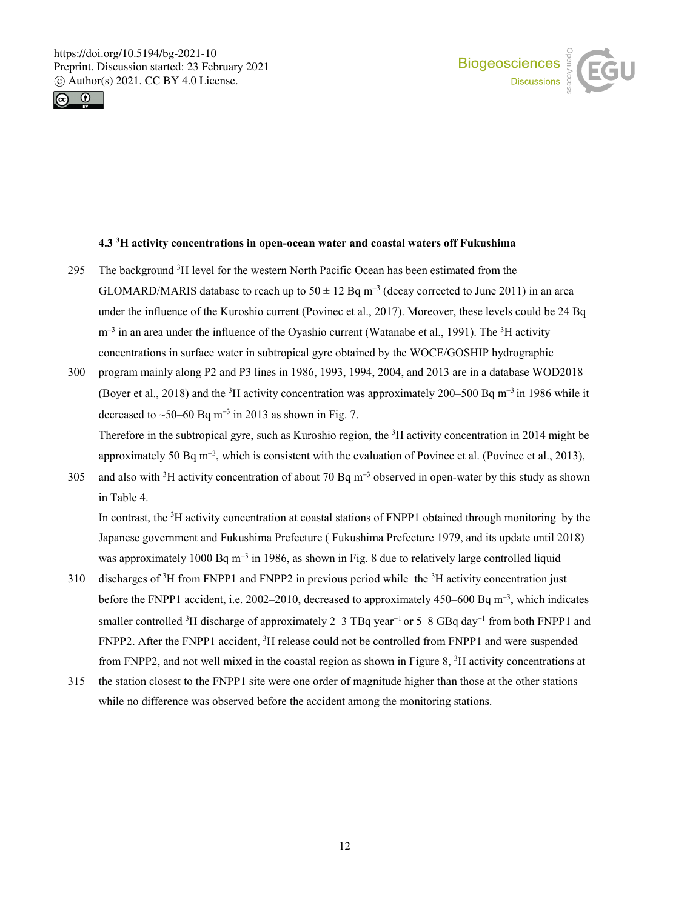



# **4.3 3 H activity concentrations in open-ocean water and coastal waters off Fukushima**

- 295 The background  ${}^{3}H$  level for the western North Pacific Ocean has been estimated from the GLOMARD/MARIS database to reach up to  $50 \pm 12$  Bq m<sup>-3</sup> (decay corrected to June 2011) in an area under the influence of the Kuroshio current (Povinec et al., 2017). Moreover, these levels could be 24 Bq m<sup>-3</sup> in an area under the influence of the Oyashio current (Watanabe et al., 1991). The <sup>3</sup>H activity concentrations in surface water in subtropical gyre obtained by the WOCE/GOSHIP hydrographic
- 300 program mainly along P2 and P3 lines in 1986, 1993, 1994, 2004, and 2013 are in a database WOD2018 (Boyer et al., 2018) and the 3 H activity concentration was approximately 200–500 Bq m<sup>−</sup><sup>3</sup> in 1986 while it decreased to ~50–60 Bq m<sup>-3</sup> in 2013 as shown in Fig. 7.

Therefore in the subtropical gyre, such as Kuroshio region, the <sup>3</sup>H activity concentration in 2014 might be approximately 50 Bq m<sup>-3</sup>, which is consistent with the evaluation of Povinec et al. (Povinec et al., 2013),

305 and also with <sup>3</sup>H activity concentration of about 70 Bq m<sup>-3</sup> observed in open-water by this study as shown in Table 4.

In contrast, the <sup>3</sup>H activity concentration at coastal stations of FNPP1 obtained through monitoring by the Japanese government and Fukushima Prefecture ( Fukushima Prefecture 1979, and its update until 2018) was approximately 1000 Bq m<sup>-3</sup> in 1986, as shown in Fig. 8 due to relatively large controlled liquid

- 310 discharges of  ${}^{3}H$  from FNPP1 and FNPP2 in previous period while the  ${}^{3}H$  activity concentration just before the FNPP1 accident, i.e. 2002–2010, decreased to approximately 450–600 Bq m<sup>−</sup><sup>3</sup> , which indicates smaller controlled <sup>3</sup>H discharge of approximately 2–3 TBq year<sup>-1</sup> or 5–8 GBq day<sup>-1</sup> from both FNPP1 and FNPP2. After the FNPP1 accident, <sup>3</sup>H release could not be controlled from FNPP1 and were suspended from FNPP2, and not well mixed in the coastal region as shown in Figure 8,  ${}^{3}$ H activity concentrations at
- 315 the station closest to the FNPP1 site were one order of magnitude higher than those at the other stations while no difference was observed before the accident among the monitoring stations.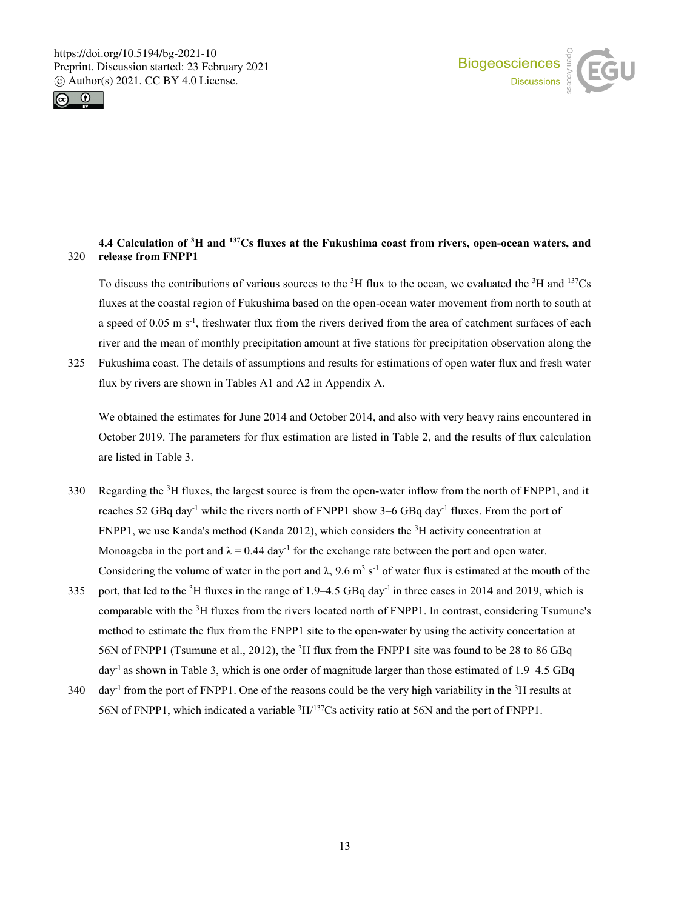



# **4.4 Calculation of 3 H and 137Cs fluxes at the Fukushima coast from rivers, open-ocean waters, and**  320 **release from FNPP1**

To discuss the contributions of various sources to the  ${}^{3}H$  flux to the ocean, we evaluated the  ${}^{3}H$  and  ${}^{137}Cs$ fluxes at the coastal region of Fukushima based on the open-ocean water movement from north to south at a speed of  $0.05 \text{ m s}^{-1}$ , freshwater flux from the rivers derived from the area of catchment surfaces of each river and the mean of monthly precipitation amount at five stations for precipitation observation along the

325 Fukushima coast. The details of assumptions and results for estimations of open water flux and fresh water flux by rivers are shown in Tables A1 and A2 in Appendix A.

We obtained the estimates for June 2014 and October 2014, and also with very heavy rains encountered in October 2019. The parameters for flux estimation are listed in Table 2, and the results of flux calculation are listed in Table 3.

- 330 Regarding the <sup>3</sup>H fluxes, the largest source is from the open-water inflow from the north of FNPP1, and it reaches 52 GBq day<sup>-1</sup> while the rivers north of FNPP1 show 3–6 GBq day<sup>-1</sup> fluxes. From the port of FNPP1, we use Kanda's method (Kanda 2012), which considers the  ${}^{3}H$  activity concentration at Monoageba in the port and  $\lambda = 0.44 \text{ day}^{-1}$  for the exchange rate between the port and open water. Considering the volume of water in the port and  $\lambda$ , 9.6 m<sup>3</sup> s<sup>-1</sup> of water flux is estimated at the mouth of the
- 335 port, that led to the <sup>3</sup>H fluxes in the range of 1.9–4.5 GBq day<sup>-1</sup> in three cases in 2014 and 2019, which is comparable with the <sup>3</sup>H fluxes from the rivers located north of FNPP1. In contrast, considering Tsumune's method to estimate the flux from the FNPP1 site to the open-water by using the activity concertation at 56N of FNPP1 (Tsumune et al., 2012), the <sup>3</sup>H flux from the FNPP1 site was found to be 28 to 86 GBq day-1 as shown in Table 3, which is one order of magnitude larger than those estimated of 1.9–4.5 GBq
- 340 day<sup>-1</sup> from the port of FNPP1. One of the reasons could be the very high variability in the <sup>3</sup>H results at 56N of FNPP1, which indicated a variable  ${}^{3}H/{}^{137}Cs$  activity ratio at 56N and the port of FNPP1.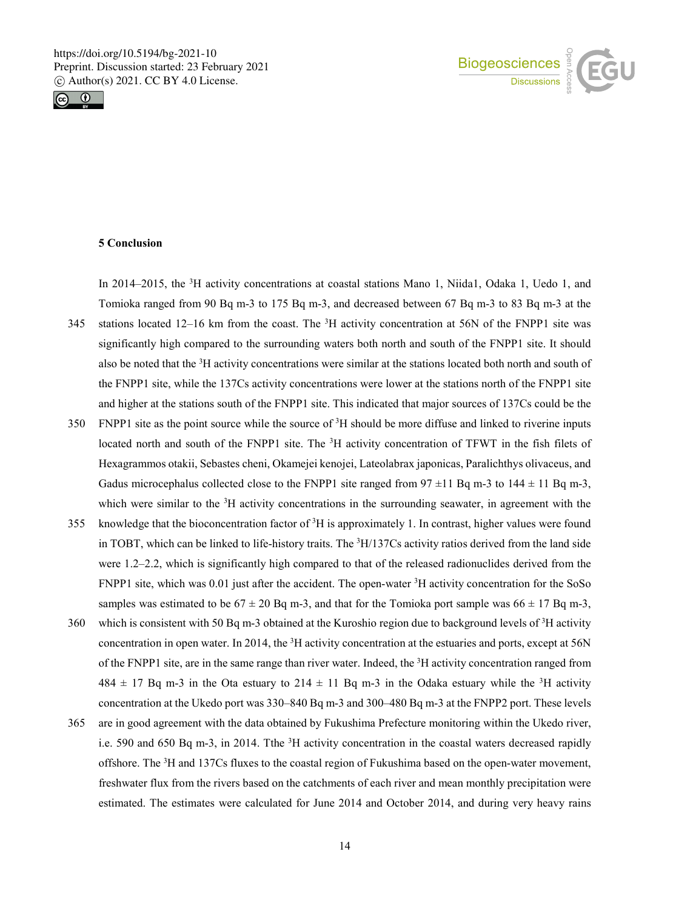



# **5 Conclusion**

In 2014–2015, the <sup>3</sup>H activity concentrations at coastal stations Mano 1, Niida1, Odaka 1, Uedo 1, and Tomioka ranged from 90 Bq m-3 to 175 Bq m-3, and decreased between 67 Bq m-3 to 83 Bq m-3 at the 345 stations located 12–16 km from the coast. The  ${}^{3}H$  activity concentration at 56N of the FNPP1 site was

- significantly high compared to the surrounding waters both north and south of the FNPP1 site. It should also be noted that the <sup>3</sup>H activity concentrations were similar at the stations located both north and south of the FNPP1 site, while the 137Cs activity concentrations were lower at the stations north of the FNPP1 site and higher at the stations south of the FNPP1 site. This indicated that major sources of 137Cs could be the
- $350$  FNPP1 site as the point source while the source of  $3H$  should be more diffuse and linked to riverine inputs located north and south of the FNPP1 site. The <sup>3</sup>H activity concentration of TFWT in the fish filets of Hexagrammos otakii, Sebastes cheni, Okamejei kenojei, Lateolabrax japonicas, Paralichthys olivaceus, and Gadus microcephalus collected close to the FNPP1 site ranged from  $97 \pm 11$  Bq m-3 to  $144 \pm 11$  Bq m-3, which were similar to the  ${}^{3}H$  activity concentrations in the surrounding seawater, in agreement with the
- 355 knowledge that the bioconcentration factor of  ${}^{3}H$  is approximately 1. In contrast, higher values were found in TOBT, which can be linked to life-history traits. The  ${}^{3}H/137Cs$  activity ratios derived from the land side were 1.2–2.2, which is significantly high compared to that of the released radionuclides derived from the FNPP1 site, which was 0.01 just after the accident. The open-water <sup>3</sup>H activity concentration for the SoSo samples was estimated to be  $67 \pm 20$  Bq m-3, and that for the Tomioka port sample was  $66 \pm 17$  Bq m-3,
- 360 which is consistent with 50 Bq m-3 obtained at the Kuroshio region due to background levels of  ${}^{3}H$  activity concentration in open water. In 2014, the <sup>3</sup>H activity concentration at the estuaries and ports, except at 56N of the FNPP1 site, are in the same range than river water. Indeed, the <sup>3</sup>H activity concentration ranged from  $484 \pm 17$  Bq m-3 in the Ota estuary to  $214 \pm 11$  Bq m-3 in the Odaka estuary while the <sup>3</sup>H activity concentration at the Ukedo port was 330–840 Bq m-3 and 300–480 Bq m-3 at the FNPP2 port. These levels
- 365 are in good agreement with the data obtained by Fukushima Prefecture monitoring within the Ukedo river, i.e. 590 and 650 Bq m-3, in 2014. Tthe <sup>3</sup>H activity concentration in the coastal waters decreased rapidly offshore. The <sup>3</sup>H and 137Cs fluxes to the coastal region of Fukushima based on the open-water movement, freshwater flux from the rivers based on the catchments of each river and mean monthly precipitation were estimated. The estimates were calculated for June 2014 and October 2014, and during very heavy rains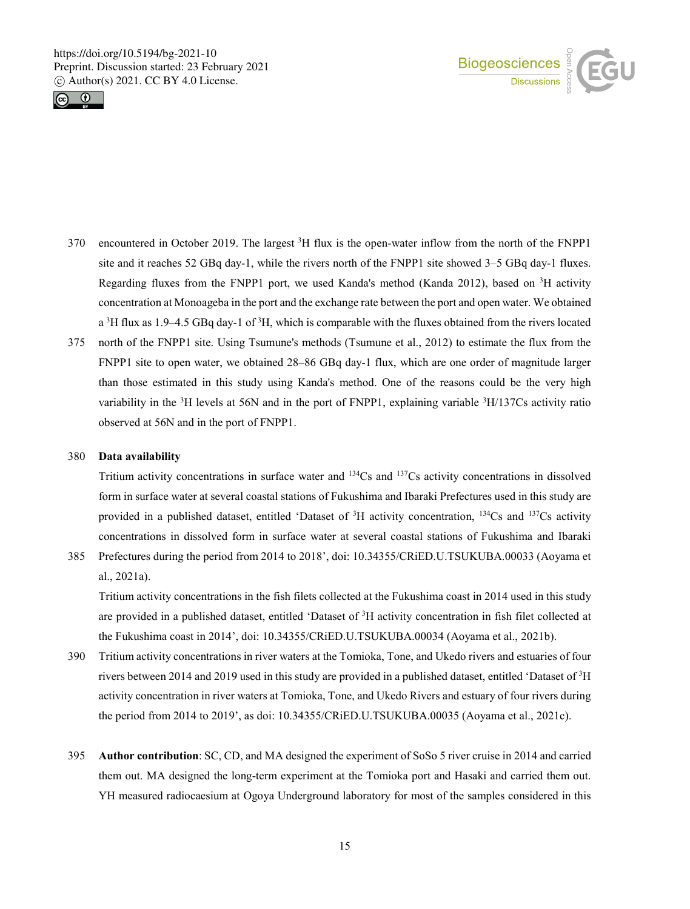



- 370 encountered in October 2019. The largest  ${}^{3}H$  flux is the open-water inflow from the north of the FNPP1 site and it reaches 52 GBq day-1, while the rivers north of the FNPP1 site showed 3–5 GBq day-1 fluxes. Regarding fluxes from the FNPP1 port, we used Kanda's method (Kanda 2012), based on <sup>3</sup>H activity concentration at Monoageba in the port and the exchange rate between the port and open water. We obtained a  ${}^{3}H$  flux as 1.9–4.5 GBq day-1 of  ${}^{3}H$ , which is comparable with the fluxes obtained from the rivers located
- 375 north of the FNPP1 site. Using Tsumune's methods (Tsumune et al., 2012) to estimate the flux from the FNPP1 site to open water, we obtained 28–86 GBq day-1 flux, which are one order of magnitude larger than those estimated in this study using Kanda's method. One of the reasons could be the very high variability in the <sup>3</sup>H levels at 56N and in the port of FNPP1, explaining variable <sup>3</sup>H/137Cs activity ratio observed at 56N and in the port of FNPP1.

#### 380 **Data availability**

Tritium activity concentrations in surface water and  $134\text{Cs}$  and  $137\text{Cs}$  activity concentrations in dissolved form in surface water at several coastal stations of Fukushima and Ibaraki Prefectures used in this study are provided in a published dataset, entitled 'Dataset of <sup>3</sup>H activity concentration, <sup>134</sup>Cs and <sup>137</sup>Cs activity concentrations in dissolved form in surface water at several coastal stations of Fukushima and Ibaraki

385 Prefectures during the period from 2014 to 2018', doi: 10.34355/CRiED.U.TSUKUBA.00033 (Aoyama et al., 2021a).

Tritium activity concentrations in the fish filets collected at the Fukushima coast in 2014 used in this study are provided in a published dataset, entitled 'Dataset of <sup>3</sup>H activity concentration in fish filet collected at the Fukushima coast in 2014', doi: 10.34355/CRiED.U.TSUKUBA.00034 (Aoyama et al., 2021b).

- 390 Tritium activity concentrations in river waters at the Tomioka, Tone, and Ukedo rivers and estuaries of four rivers between 2014 and 2019 used in this study are provided in a published dataset, entitled 'Dataset of <sup>3</sup>H activity concentration in river waters at Tomioka, Tone, and Ukedo Rivers and estuary of four rivers during the period from 2014 to 2019', as doi: 10.34355/CRiED.U.TSUKUBA.00035 (Aoyama et al., 2021c).
- 395 **Author contribution**: SC, CD, and MA designed the experiment of SoSo 5 river cruise in 2014 and carried them out. MA designed the long-term experiment at the Tomioka port and Hasaki and carried them out. YH measured radiocaesium at Ogoya Underground laboratory for most of the samples considered in this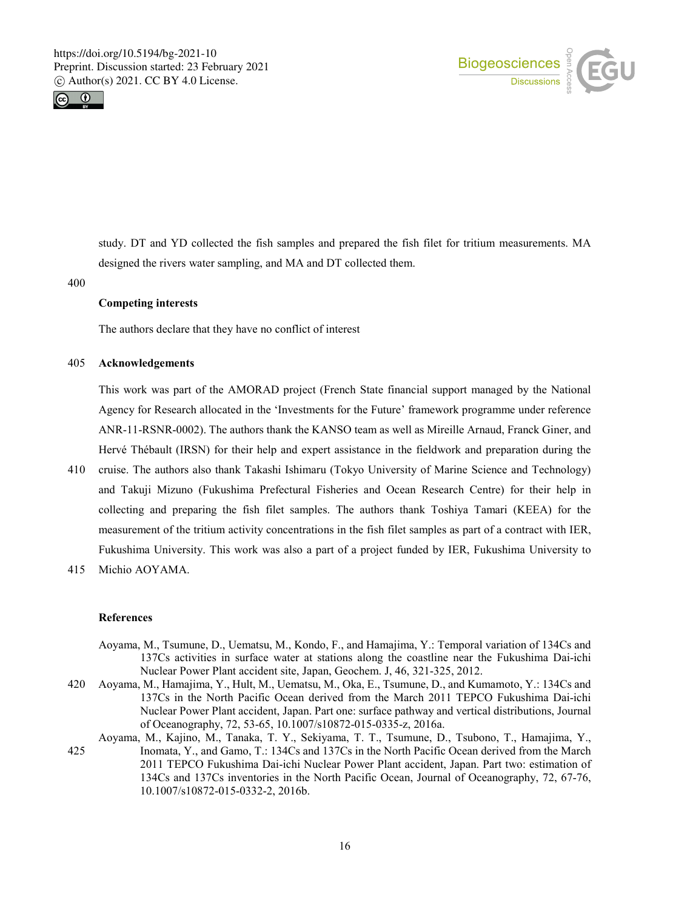



study. DT and YD collected the fish samples and prepared the fish filet for tritium measurements. MA designed the rivers water sampling, and MA and DT collected them.

400

#### **Competing interests**

The authors declare that they have no conflict of interest

#### 405 **Acknowledgements**

This work was part of the AMORAD project (French State financial support managed by the National Agency for Research allocated in the 'Investments for the Future' framework programme under reference ANR-11-RSNR-0002). The authors thank the KANSO team as well as Mireille Arnaud, Franck Giner, and Hervé Thébault (IRSN) for their help and expert assistance in the fieldwork and preparation during the

- 410 cruise. The authors also thank Takashi Ishimaru (Tokyo University of Marine Science and Technology) and Takuji Mizuno (Fukushima Prefectural Fisheries and Ocean Research Centre) for their help in collecting and preparing the fish filet samples. The authors thank Toshiya Tamari (KEEA) for the measurement of the tritium activity concentrations in the fish filet samples as part of a contract with IER, Fukushima University. This work was also a part of a project funded by IER, Fukushima University to
- 415 Michio AOYAMA.

#### **References**

- Aoyama, M., Tsumune, D., Uematsu, M., Kondo, F., and Hamajima, Y.: Temporal variation of 134Cs and 137Cs activities in surface water at stations along the coastline near the Fukushima Dai-ichi Nuclear Power Plant accident site, Japan, Geochem. J, 46, 321-325, 2012.
- 420 Aoyama, M., Hamajima, Y., Hult, M., Uematsu, M., Oka, E., Tsumune, D., and Kumamoto, Y.: 134Cs and 137Cs in the North Pacific Ocean derived from the March 2011 TEPCO Fukushima Dai-ichi Nuclear Power Plant accident, Japan. Part one: surface pathway and vertical distributions, Journal of Oceanography, 72, 53-65, 10.1007/s10872-015-0335-z, 2016a.
- Aoyama, M., Kajino, M., Tanaka, T. Y., Sekiyama, T. T., Tsumune, D., Tsubono, T., Hamajima, Y., 425 Inomata, Y., and Gamo, T.: 134Cs and 137Cs in the North Pacific Ocean derived from the March 2011 TEPCO Fukushima Dai-ichi Nuclear Power Plant accident, Japan. Part two: estimation of 134Cs and 137Cs inventories in the North Pacific Ocean, Journal of Oceanography, 72, 67-76, 10.1007/s10872-015-0332-2, 2016b.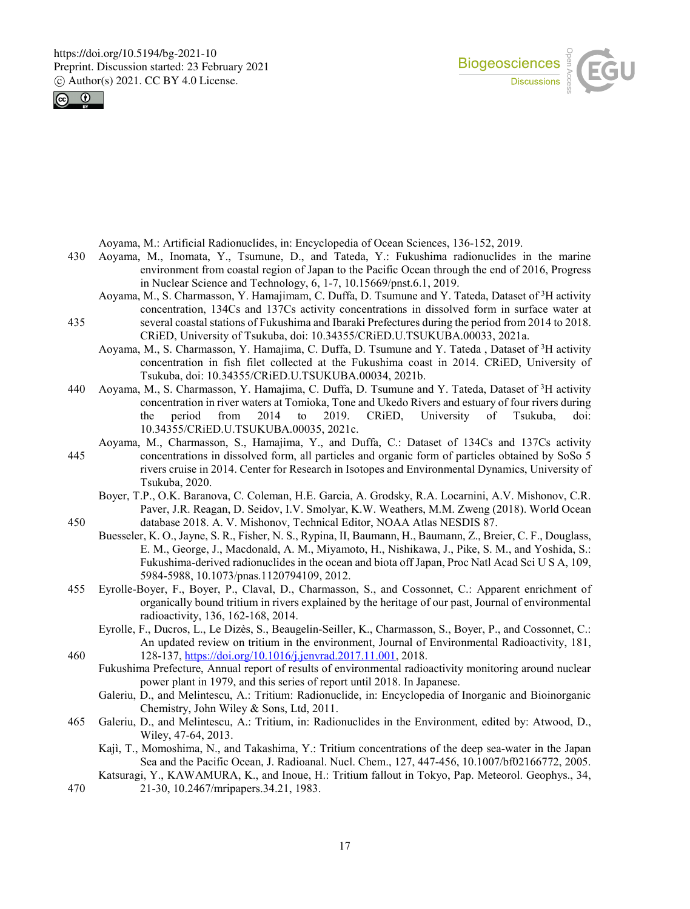



Aoyama, M.: Artificial Radionuclides, in: Encyclopedia of Ocean Sciences, 136-152, 2019.

- 430 Aoyama, M., Inomata, Y., Tsumune, D., and Tateda, Y.: Fukushima radionuclides in the marine environment from coastal region of Japan to the Pacific Ocean through the end of 2016, Progress in Nuclear Science and Technology, 6, 1-7, 10.15669/pnst.6.1, 2019.
- Aoyama, M., S. Charmasson, Y. Hamajimam, C. Duffa, D. Tsumune and Y. Tateda, Dataset of <sup>3</sup>H activity concentration, 134Cs and 137Cs activity concentrations in dissolved form in surface water at 435 several coastal stations of Fukushima and Ibaraki Prefectures during the period from 2014 to 2018. CRiED, University of Tsukuba, doi: 10.34355/CRiED.U.TSUKUBA.00033, 2021a.
	- Aoyama, M., S. Charmasson, Y. Hamajima, C. Duffa, D. Tsumune and Y. Tateda, Dataset of <sup>3</sup>H activity concentration in fish filet collected at the Fukushima coast in 2014. CRiED, University of Tsukuba, doi: 10.34355/CRiED.U.TSUKUBA.00034, 2021b.
- 440 Aoyama, M., S. Charmasson, Y. Hamajima, C. Duffa, D. Tsumune and Y. Tateda, Dataset of <sup>3</sup>H activity concentration in river waters at Tomioka, Tone and Ukedo Rivers and estuary of four rivers during the period from 2014 to 2019. CRiED, University of Tsukuba, doi: 10.34355/CRiED.U.TSUKUBA.00035, 2021c.
- Aoyama, M., Charmasson, S., Hamajima, Y., and Duffa, C.: Dataset of 134Cs and 137Cs activity 445 concentrations in dissolved form, all particles and organic form of particles obtained by SoSo 5 rivers cruise in 2014. Center for Research in Isotopes and Environmental Dynamics, University of Tsukuba, 2020.
- Boyer, T.P., O.K. Baranova, C. Coleman, H.E. Garcia, A. Grodsky, R.A. Locarnini, A.V. Mishonov, C.R. Paver, J.R. Reagan, D. Seidov, I.V. Smolyar, K.W. Weathers, M.M. Zweng (2018). World Ocean 450 database 2018. A. V. Mishonov, Technical Editor, NOAA Atlas NESDIS 87.
- Buesseler, K. O., Jayne, S. R., Fisher, N. S., Rypina, II, Baumann, H., Baumann, Z., Breier, C. F., Douglass, E. M., George, J., Macdonald, A. M., Miyamoto, H., Nishikawa, J., Pike, S. M., and Yoshida, S.: Fukushima-derived radionuclides in the ocean and biota off Japan, Proc Natl Acad Sci U S A, 109, 5984-5988, 10.1073/pnas.1120794109, 2012.
- 455 Eyrolle-Boyer, F., Boyer, P., Claval, D., Charmasson, S., and Cossonnet, C.: Apparent enrichment of organically bound tritium in rivers explained by the heritage of our past, Journal of environmental radioactivity, 136, 162-168, 2014.
- Eyrolle, F., Ducros, L., Le Dizès, S., Beaugelin-Seiller, K., Charmasson, S., Boyer, P., and Cossonnet, C.: An updated review on tritium in the environment, Journal of Environmental Radioactivity, 181, 460 128-137, https://doi.org/10.1016/j.jenvrad.2017.11.001, 2018.
	- Fukushima Prefecture, Annual report of results of environmental radioactivity monitoring around nuclear power plant in 1979, and this series of report until 2018. In Japanese.
		- Galeriu, D., and Melintescu, A.: Tritium: Radionuclide, in: Encyclopedia of Inorganic and Bioinorganic Chemistry, John Wiley & Sons, Ltd, 2011.
- 465 Galeriu, D., and Melintescu, A.: Tritium, in: Radionuclides in the Environment, edited by: Atwood, D., Wiley, 47-64, 2013.
	- Kajì, T., Momoshima, N., and Takashima, Y.: Tritium concentrations of the deep sea-water in the Japan Sea and the Pacific Ocean, J. Radioanal. Nucl. Chem., 127, 447-456, 10.1007/bf02166772, 2005.
- Katsuragi, Y., KAWAMURA, K., and Inoue, H.: Tritium fallout in Tokyo, Pap. Meteorol. Geophys., 34, 470 21-30, 10.2467/mripapers.34.21, 1983.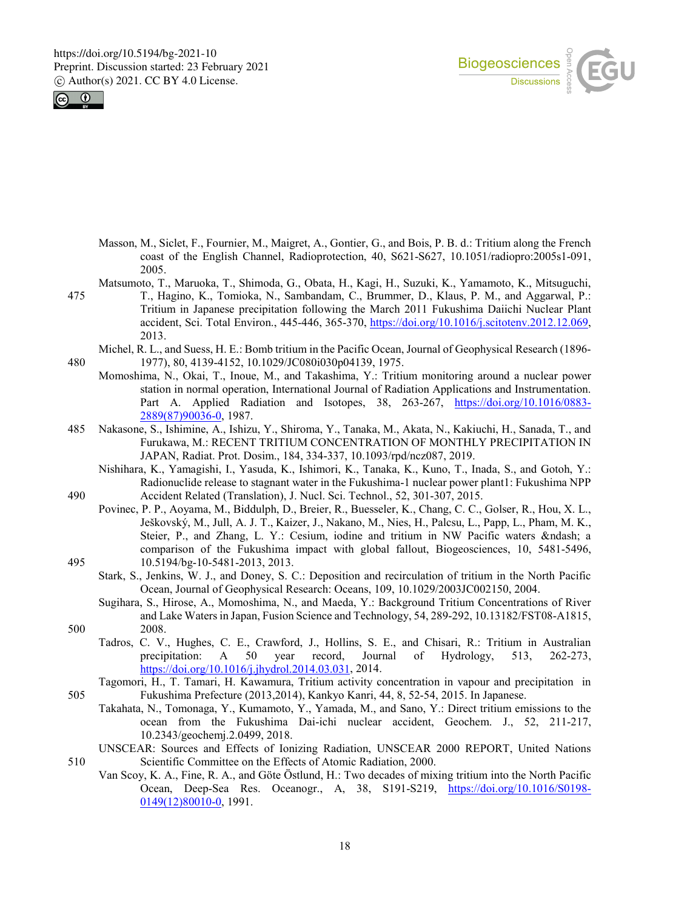



- Masson, M., Siclet, F., Fournier, M., Maigret, A., Gontier, G., and Bois, P. B. d.: Tritium along the French coast of the English Channel, Radioprotection, 40, S621-S627, 10.1051/radiopro:2005s1-091, 2005.
- Matsumoto, T., Maruoka, T., Shimoda, G., Obata, H., Kagi, H., Suzuki, K., Yamamoto, K., Mitsuguchi, 475 T., Hagino, K., Tomioka, N., Sambandam, C., Brummer, D., Klaus, P. M., and Aggarwal, P.: Tritium in Japanese precipitation following the March 2011 Fukushima Daiichi Nuclear Plant accident, Sci. Total Environ., 445-446, 365-370, https://doi.org/10.1016/j.scitotenv.2012.12.069, 2013.
- Michel, R. L., and Suess, H. E.: Bomb tritium in the Pacific Ocean, Journal of Geophysical Research (1896- 480 1977), 80, 4139-4152, 10.1029/JC080i030p04139, 1975.
	- Momoshima, N., Okai, T., Inoue, M., and Takashima, Y.: Tritium monitoring around a nuclear power station in normal operation, International Journal of Radiation Applications and Instrumentation. Part A. Applied Radiation and Isotopes, 38, 263-267, https://doi.org/10.1016/0883- 2889(87)90036-0, 1987.
- 485 Nakasone, S., Ishimine, A., Ishizu, Y., Shiroma, Y., Tanaka, M., Akata, N., Kakiuchi, H., Sanada, T., and Furukawa, M.: RECENT TRITIUM CONCENTRATION OF MONTHLY PRECIPITATION IN JAPAN, Radiat. Prot. Dosim., 184, 334-337, 10.1093/rpd/ncz087, 2019.
- Nishihara, K., Yamagishi, I., Yasuda, K., Ishimori, K., Tanaka, K., Kuno, T., Inada, S., and Gotoh, Y.: Radionuclide release to stagnant water in the Fukushima-1 nuclear power plant1: Fukushima NPP 490 Accident Related (Translation), J. Nucl. Sci. Technol., 52, 301-307, 2015.
- Povinec, P. P., Aoyama, M., Biddulph, D., Breier, R., Buesseler, K., Chang, C. C., Golser, R., Hou, X. L., Ješkovský, M., Jull, A. J. T., Kaizer, J., Nakano, M., Nies, H., Palcsu, L., Papp, L., Pham, M. K., Steier, P., and Zhang, L. Y.: Cesium, iodine and tritium in NW Pacific waters – a comparison of the Fukushima impact with global fallout, Biogeosciences, 10, 5481-5496, 495 10.5194/bg-10-5481-2013, 2013.
	- Stark, S., Jenkins, W. J., and Doney, S. C.: Deposition and recirculation of tritium in the North Pacific Ocean, Journal of Geophysical Research: Oceans, 109, 10.1029/2003JC002150, 2004.
- Sugihara, S., Hirose, A., Momoshima, N., and Maeda, Y.: Background Tritium Concentrations of River and Lake Waters in Japan, Fusion Science and Technology, 54, 289-292, 10.13182/FST08-A1815, 500 2008.
	- Tadros, C. V., Hughes, C. E., Crawford, J., Hollins, S. E., and Chisari, R.: Tritium in Australian precipitation: A 50 year record, Journal of Hydrology, 513. 262-273. precipitation: A 50 year record, Journal of Hydrology, 513, 262-273, https://doi.org/10.1016/j.jhydrol.2014.03.031, 2014.
- Tagomori, H., T. Tamari, H. Kawamura, Tritium activity concentration in vapour and precipitation in 505 Fukushima Prefecture (2013,2014), Kankyo Kanri, 44, 8, 52-54, 2015. In Japanese.
	- Takahata, N., Tomonaga, Y., Kumamoto, Y., Yamada, M., and Sano, Y.: Direct tritium emissions to the ocean from the Fukushima Dai-ichi nuclear accident, Geochem. J., 52, 211-217, 10.2343/geochemj.2.0499, 2018.
- UNSCEAR: Sources and Effects of Ionizing Radiation, UNSCEAR 2000 REPORT, United Nations 510 Scientific Committee on the Effects of Atomic Radiation, 2000.
	- Van Scoy, K. A., Fine, R. A., and Göte Östlund, H.: Two decades of mixing tritium into the North Pacific Ocean, Deep-Sea Res. Oceanogr., A, 38, S191-S219, https://doi.org/10.1016/S0198- 0149(12)80010-0, 1991.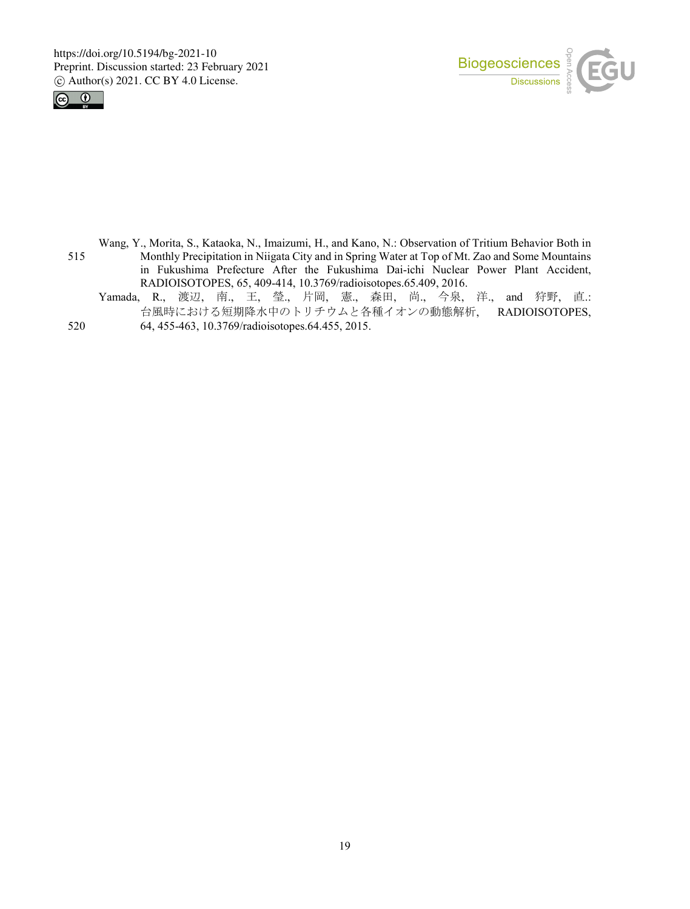



- Wang, Y., Morita, S., Kataoka, N., Imaizumi, H., and Kano, N.: Observation of Tritium Behavior Both in 515 Monthly Precipitation in Niigata City and in Spring Water at Top of Mt. Zao and Some Mountains in Fukushima Prefecture After the Fukushima Dai-ichi Nuclear Power Plant Accident, RADIOISOTOPES, 65, 409-414, 10.3769/radioisotopes.65.409, 2016.
- Yamada, R., 渡辺, 南., 王, 瑩., 片岡, 憲., 森田, 尚., 今泉, 洋., and 狩野, 直.: 台風時における短期降水中のトリチウムと各種イオンの動態解析, RADIOISOTOPES, 520 64, 455-463, 10.3769/radioisotopes.64.455, 2015.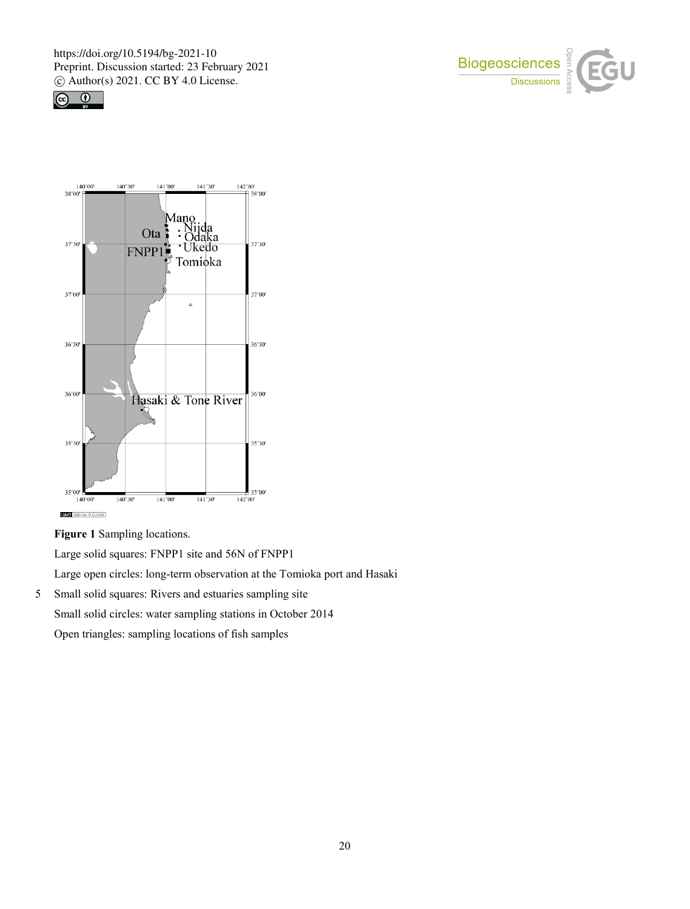





**Figure 1** Sampling locations.

Large solid squares: FNPP1 site and 56N of FNPP1 Large open circles: long-term observation at the Tomioka port and Hasaki

5 Small solid squares: Rivers and estuaries sampling site Small solid circles: water sampling stations in October 2014 Open triangles: sampling locations of fish samples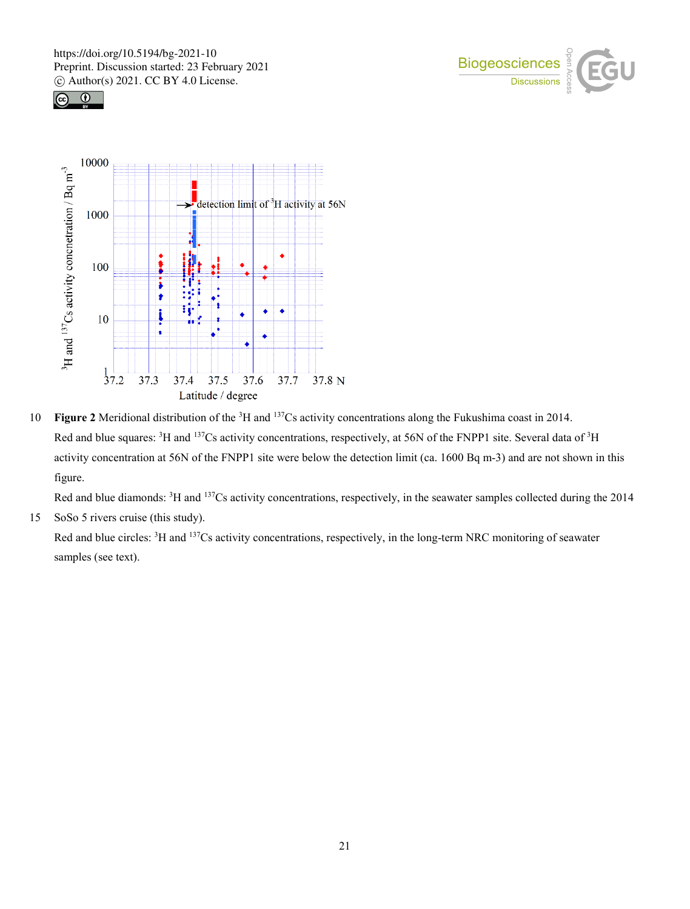





10 **Figure 2** Meridional distribution of the <sup>3</sup>H and <sup>137</sup>Cs activity concentrations along the Fukushima coast in 2014. Red and blue squares:  ${}^{3}H$  and  ${}^{137}Cs$  activity concentrations, respectively, at 56N of the FNPP1 site. Several data of  ${}^{3}H$ activity concentration at 56N of the FNPP1 site were below the detection limit (ca. 1600 Bq m-3) and are not shown in this figure.

Red and blue diamonds: <sup>3</sup>H and <sup>137</sup>Cs activity concentrations, respectively, in the seawater samples collected during the 2014

15 SoSo 5 rivers cruise (this study).

Red and blue circles: <sup>3</sup>H and <sup>137</sup>Cs activity concentrations, respectively, in the long-term NRC monitoring of seawater samples (see text).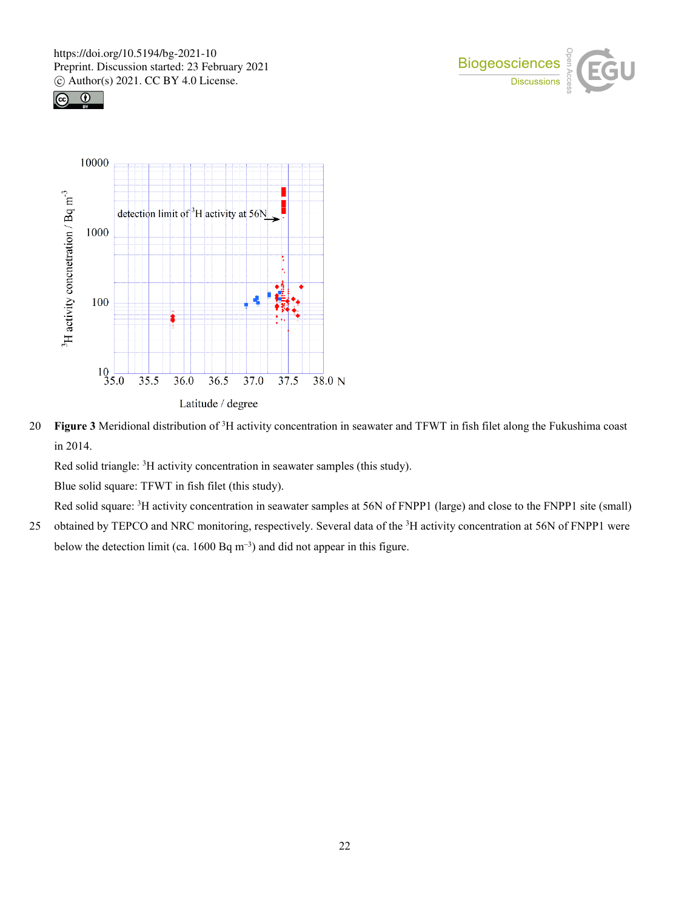





20 Figure 3 Meridional distribution of <sup>3</sup>H activity concentration in seawater and TFWT in fish filet along the Fukushima coast in 2014.

Red solid triangle:  ${}^{3}$ H activity concentration in seawater samples (this study).

Blue solid square: TFWT in fish filet (this study).

Red solid square: <sup>3</sup>H activity concentration in seawater samples at 56N of FNPP1 (large) and close to the FNPP1 site (small)

25 obtained by TEPCO and NRC monitoring, respectively. Several data of the <sup>3</sup>H activity concentration at 56N of FNPP1 were below the detection limit (ca. 1600 Bq m<sup>-3</sup>) and did not appear in this figure.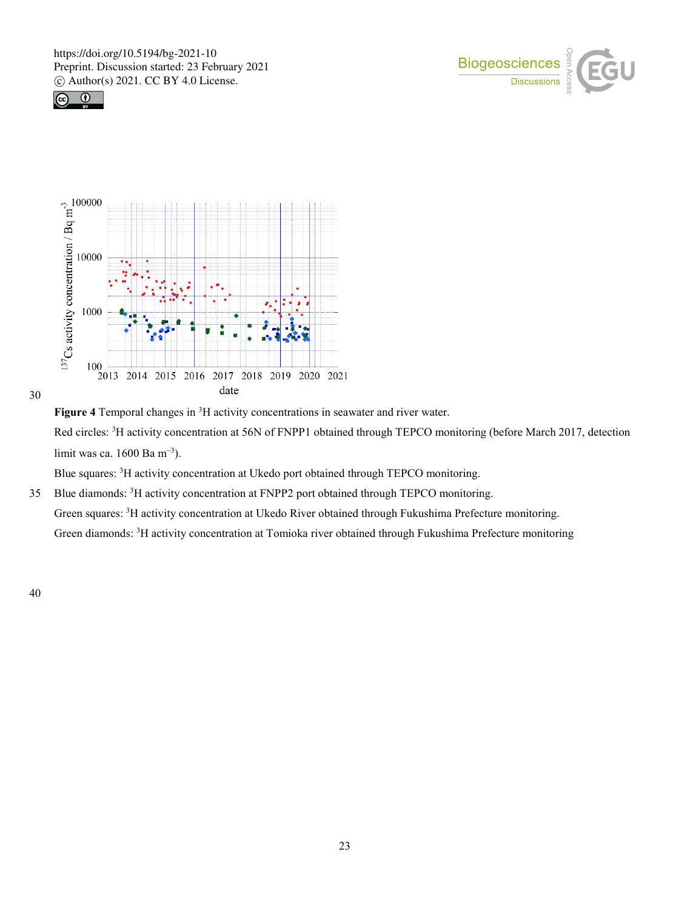







Figure 4 Temporal changes in <sup>3</sup>H activity concentrations in seawater and river water. Red circles: <sup>3</sup>H activity concentration at 56N of FNPP1 obtained through TEPCO monitoring (before March 2017, detection limit was ca. 1600 Ba m<sup>−</sup><sup>3</sup> ).

Blue squares: <sup>3</sup>H activity concentration at Ukedo port obtained through TEPCO monitoring.

35 Blue diamonds: <sup>3</sup>H activity concentration at FNPP2 port obtained through TEPCO monitoring. Green squares: <sup>3</sup>H activity concentration at Ukedo River obtained through Fukushima Prefecture monitoring. Green diamonds: <sup>3</sup>H activity concentration at Tomioka river obtained through Fukushima Prefecture monitoring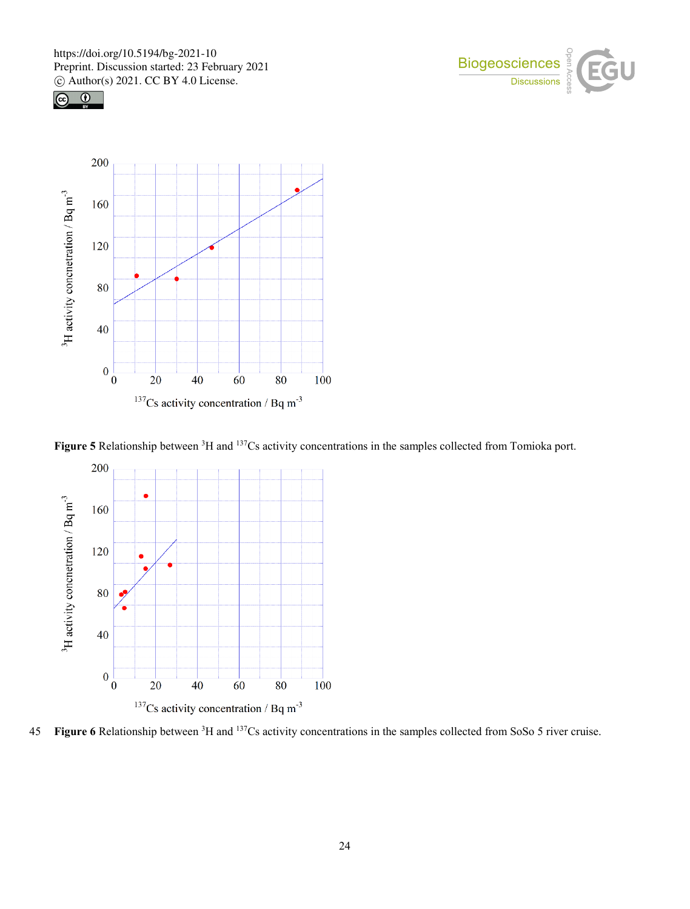





Figure 5 Relationship between <sup>3</sup>H and <sup>137</sup>Cs activity concentrations in the samples collected from Tomioka port.



45 Figure 6 Relationship between <sup>3</sup>H and <sup>137</sup>Cs activity concentrations in the samples collected from SoSo 5 river cruise.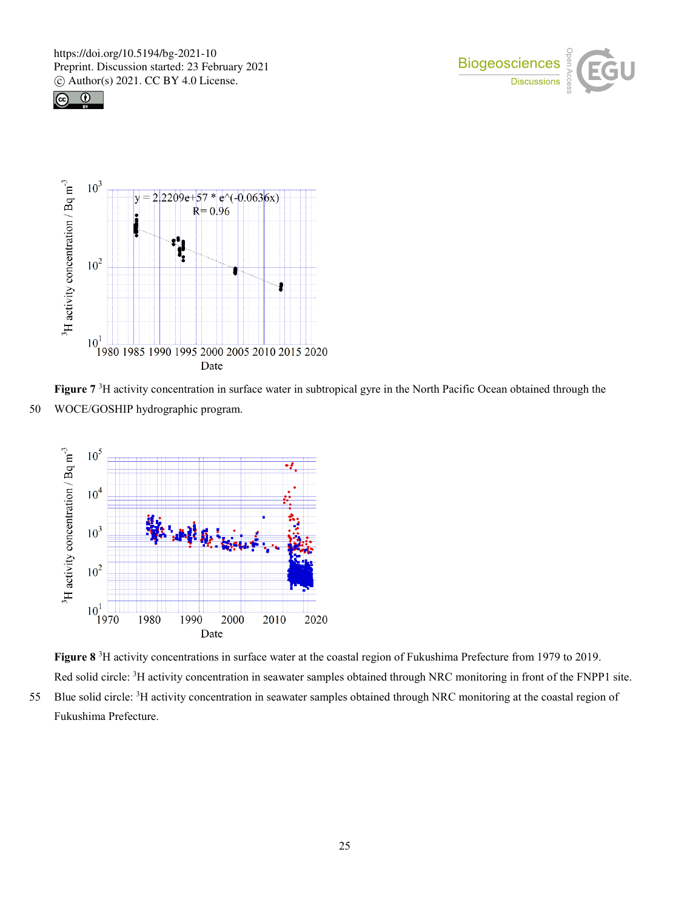





Figure 7<sup>3</sup>H activity concentration in surface water in subtropical gyre in the North Pacific Ocean obtained through the 50 WOCE/GOSHIP hydrographic program.



**Figure 8** <sup>3</sup> H activity concentrations in surface water at the coastal region of Fukushima Prefecture from 1979 to 2019. Red solid circle: <sup>3</sup>H activity concentration in seawater samples obtained through NRC monitoring in front of the FNPP1 site. 55 Blue solid circle: <sup>3</sup>H activity concentration in seawater samples obtained through NRC monitoring at the coastal region of

Fukushima Prefecture.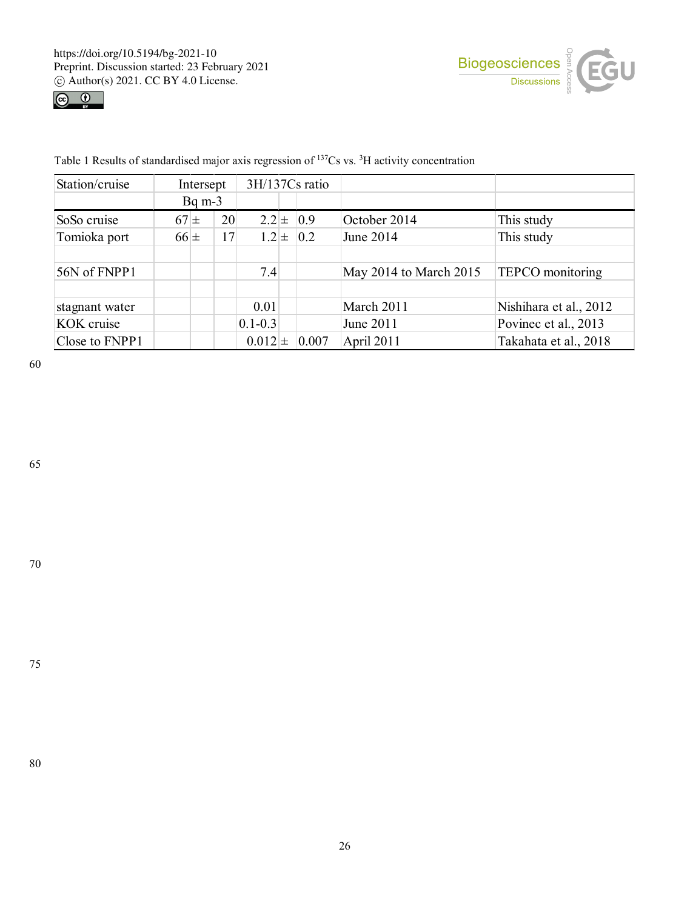



| Station/cruise | Intersept          |  | 3H/137Cs ratio |             |  |               |                        |                         |  |
|----------------|--------------------|--|----------------|-------------|--|---------------|------------------------|-------------------------|--|
|                | $Bq \, \text{m-}3$ |  |                |             |  |               |                        |                         |  |
| SoSo cruise    | $67\pm$            |  | 20             |             |  | $2.2 \pm 0.9$ | October 2014           | This study              |  |
| Tomioka port   | $66\pm$            |  | 17             |             |  | $1.2 \pm 0.2$ | June 2014              | This study              |  |
|                |                    |  |                |             |  |               |                        |                         |  |
| 56N of FNPP1   |                    |  |                | 7.4         |  |               | May 2014 to March 2015 | <b>TEPCO</b> monitoring |  |
|                |                    |  |                |             |  |               |                        |                         |  |
| stagnant water |                    |  |                | 0.01        |  |               | March 2011             | Nishihara et al., 2012  |  |
| KOK cruise     |                    |  |                | $0.1 - 0.3$ |  |               | June 2011              | Povinec et al., 2013    |  |
| Close to FNPP1 |                    |  |                | $0.012 \pm$ |  | 0.007         | April 2011             | Takahata et al., 2018   |  |

Table 1 Results of standardised major axis regression of <sup>137</sup>Cs vs. <sup>3</sup>H activity concentration

60

65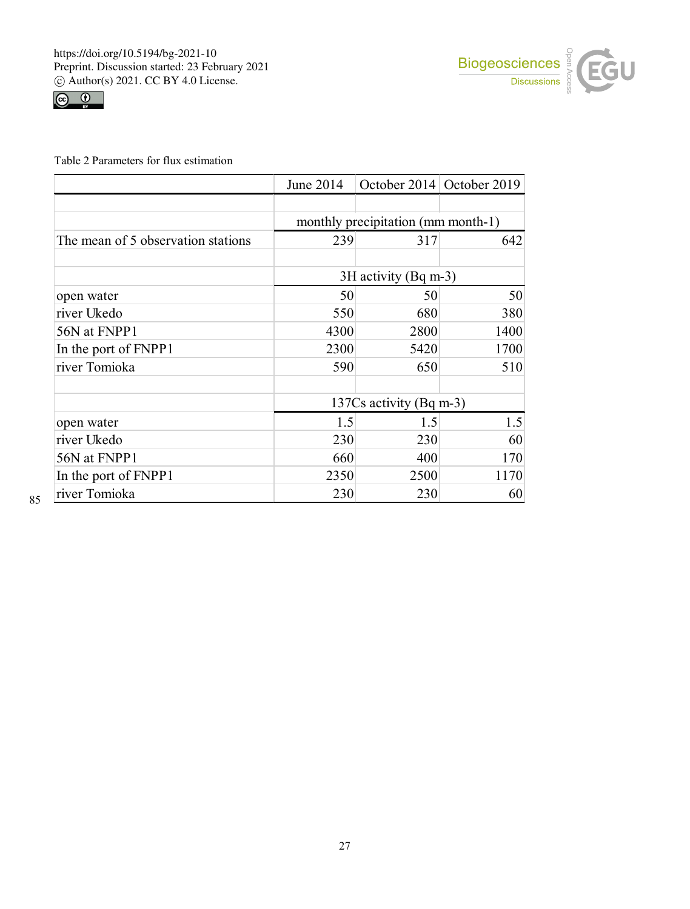



Table 2 Parameters for flux estimation

|                                    | June 2014                          | October 2014 October 2019 |      |  |
|------------------------------------|------------------------------------|---------------------------|------|--|
|                                    |                                    |                           |      |  |
|                                    | monthly precipitation (mm month-1) |                           |      |  |
| The mean of 5 observation stations | 239                                | 317                       | 642  |  |
|                                    |                                    |                           |      |  |
|                                    |                                    | 3H activity (Bq m-3)      |      |  |
| open water                         | 50                                 | 50                        | 50   |  |
| river Ukedo                        | 550                                | 680                       | 380  |  |
| 56N at FNPP1                       | 4300                               | 2800                      | 1400 |  |
| In the port of FNPP1               | 2300                               | 5420                      | 1700 |  |
| river Tomioka                      | 590                                | 650                       | 510  |  |
|                                    |                                    |                           |      |  |
|                                    | 137Cs activity (Bq m-3)            |                           |      |  |
| open water                         | 1.5                                | 1.5                       | 1.5  |  |
| river Ukedo                        | 230                                | 230                       | 60   |  |
| 56N at FNPP1                       | 660                                | 400                       | 170  |  |
| In the port of FNPP1               | 2350                               | 2500                      | 1170 |  |
| river Tomioka                      | 230                                | 230                       | 60   |  |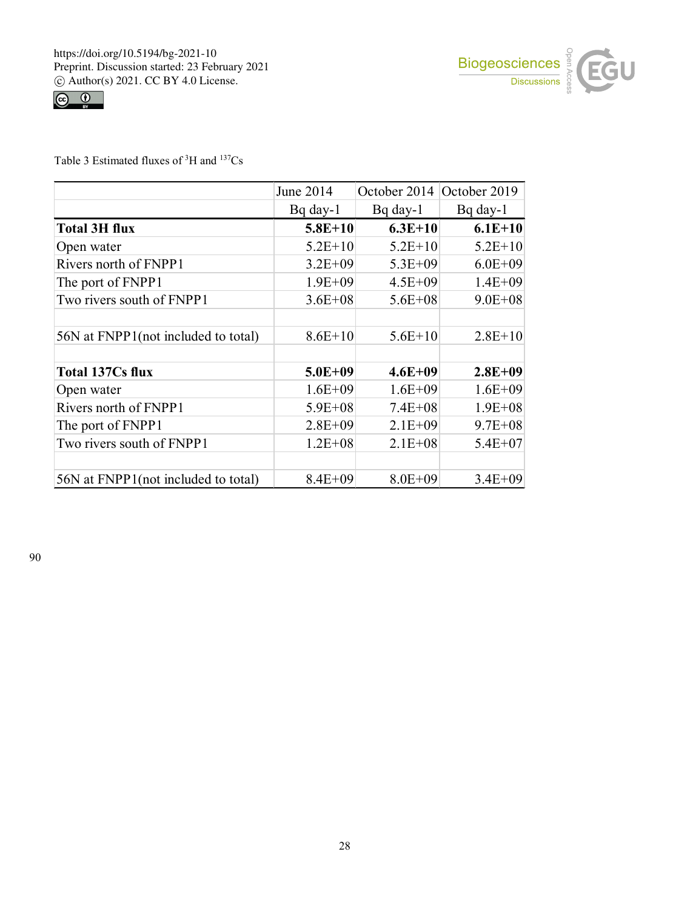



Table 3 Estimated fluxes of  ${}^{3}H$  and  ${}^{137}Cs$ 

|                                     | June 2014   | October 2014 | October 2019 |
|-------------------------------------|-------------|--------------|--------------|
|                                     | $Bq$ day-1  | $Bq$ day-1   | $Bq$ day-1   |
| <b>Total 3H flux</b>                | $5.8E+10$   | $6.3E+10$    | $6.1E+10$    |
| Open water                          | $5.2E+10$   | $5.2E+10$    | $5.2E+10$    |
| Rivers north of FNPP1               | $3.2E + 09$ | $5.3E + 09$  | $6.0E + 09$  |
| The port of FNPP1                   | $1.9E + 09$ | $4.5E + 09$  | $1.4E + 09$  |
| Two rivers south of FNPP1           | $3.6E + 08$ | $5.6E + 08$  | $9.0E + 08$  |
|                                     |             |              |              |
| 56N at FNPP1(not included to total) | $8.6E+10$   | $5.6E+10$    | $2.8E+10$    |
|                                     |             |              |              |
| <b>Total 137Cs flux</b>             | $5.0E + 09$ | $4.6E + 09$  | $2.8E + 09$  |
| Open water                          | $1.6E + 09$ | $1.6E + 09$  | $1.6E + 09$  |
| Rivers north of FNPP1               | $5.9E + 08$ | $7.4E + 08$  | $1.9E + 08$  |
| The port of FNPP1                   | $2.8E + 09$ | $2.1E + 09$  | $9.7E + 08$  |
| Two rivers south of FNPP1           | $1.2E + 08$ | $2.1E + 08$  | $5.4E + 07$  |
|                                     |             |              |              |
| 56N at FNPP1(not included to total) | $8.4E + 09$ | $8.0E + 09$  | $3.4E + 09$  |